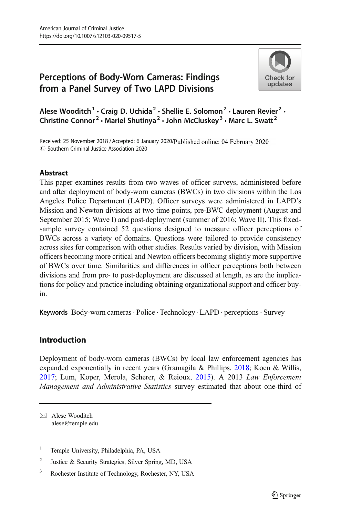# Perceptions of Body-Worn Cameras: Findings from a Panel Survey of Two LAPD Divisions



Alese Wooditch<sup>1</sup> · Craig D. Uchida<sup>2</sup> · Shellie E. Solomon<sup>2</sup> · Lauren Revier<sup>2</sup> · Christine Connor<sup>2</sup> · Mariel Shutinya<sup>2</sup> · John McCluskey<sup>3</sup> · Marc L. Swatt<sup>2</sup>

Received: 25 November 2018 / Accepted: 6 January 2020/Published online: 04 February 2020  $\circ$  Southern Criminal Justice Association 2020

### Abstract

This paper examines results from two waves of officer surveys, administered before and after deployment of body-worn cameras (BWCs) in two divisions within the Los Angeles Police Department (LAPD). Officer surveys were administered in LAPD's Mission and Newton divisions at two time points, pre-BWC deployment (August and September 2015; Wave I) and post-deployment (summer of 2016; Wave II). This fixedsample survey contained 52 questions designed to measure officer perceptions of BWCs across a variety of domains. Questions were tailored to provide consistency across sites for comparison with other studies. Results varied by division, with Mission officers becoming more critical and Newton officers becoming slightly more supportive of BWCs over time. Similarities and differences in officer perceptions both between divisions and from pre- to post-deployment are discussed at length, as are the implications for policy and practice including obtaining organizational support and officer buyin.

Keywords Body-worn cameras · Police · Technology · LAPD · perceptions · Survey

# Introduction

Deployment of body-worn cameras (BWCs) by local law enforcement agencies has expanded exponentially in recent years (Gramagila & Phillips, [2018](#page-24-0); Koen & Willis, [2017;](#page-25-0) Lum, Koper, Merola, Scherer, & Reioux, [2015\)](#page-25-0). A 2013 Law Enforcement Management and Administrative Statistics survey estimated that about one-third of

 $\boxtimes$  Alese Wooditch [alese@temple.edu](mailto:alese@temple.edu)

<sup>&</sup>lt;sup>1</sup> Temple University, Philadelphia, PA, USA

<sup>&</sup>lt;sup>2</sup> Justice & Security Strategies, Silver Spring, MD, USA

<sup>3</sup> Rochester Institute of Technology, Rochester, NY, USA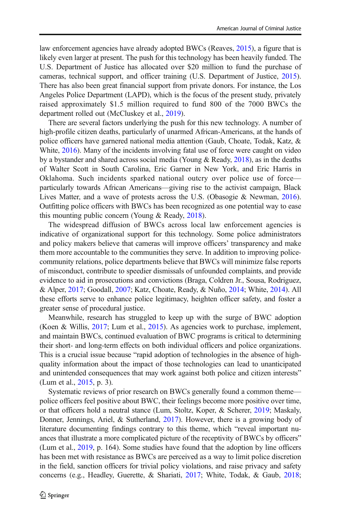law enforcement agencies have already adopted BWCs (Reaves, [2015](#page-25-0)), a figure that is likely even larger at present. The push for this technology has been heavily funded. The U.S. Department of Justice has allocated over \$20 million to fund the purchase of cameras, technical support, and officer training (U.S. Department of Justice, [2015\)](#page-25-0). There has also been great financial support from private donors. For instance, the Los Angeles Police Department (LAPD), which is the focus of the present study, privately raised approximately \$1.5 million required to fund 800 of the 7000 BWCs the department rolled out (McCluskey et al., [2019](#page-25-0)).

There are several factors underlying the push for this new technology. A number of high-profile citizen deaths, particularly of unarmed African-Americans, at the hands of police officers have garnered national media attention (Gaub, Choate, Todak, Katz, & White, [2016](#page-24-0)). Many of the incidents involving fatal use of force were caught on video by a bystander and shared across social media (Young & Ready, [2018](#page-26-0)), as in the deaths of Walter Scott in South Carolina, Eric Garner in New York, and Eric Harris in Oklahoma. Such incidents sparked national outcry over police use of force particularly towards African Americans—giving rise to the activist campaign, Black Lives Matter, and a wave of protests across the U.S. (Obasogie & Newman, [2016\)](#page-25-0). Outfitting police officers with BWCs has been recognized as one potential way to ease this mounting public concern (Young & Ready, [2018](#page-26-0)).

The widespread diffusion of BWCs across local law enforcement agencies is indicative of organizational support for this technology. Some police administrators and policy makers believe that cameras will improve officers' transparency and make them more accountable to the communities they serve. In addition to improving policecommunity relations, police departments believe that BWCs will minimize false reports of misconduct, contribute to speedier dismissals of unfounded complaints, and provide evidence to aid in prosecutions and convictions (Braga, Coldren Jr., Sousa, Rodriguez, & Alper, [2017](#page-24-0); Goodall, [2007](#page-24-0); Katz, Choate, Ready, & Nuño, [2014;](#page-25-0) White, [2014\)](#page-26-0). All these efforts serve to enhance police legitimacy, heighten officer safety, and foster a greater sense of procedural justice.

Meanwhile, research has struggled to keep up with the surge of BWC adoption (Koen & Willis, [2017](#page-25-0); Lum et al., [2015\)](#page-25-0). As agencies work to purchase, implement, and maintain BWCs, continued evaluation of BWC programs is critical to determining their short- and long-term effects on both individual officers and police organizations. This is a crucial issue because "rapid adoption of technologies in the absence of highquality information about the impact of those technologies can lead to unanticipated and unintended consequences that may work against both police and citizen interests" (Lum et al., [2015,](#page-25-0) p. 3).

Systematic reviews of prior research on BWCs generally found a common theme police officers feel positive about BWC, their feelings become more positive over time, or that officers hold a neutral stance (Lum, Stoltz, Koper, & Scherer, [2019](#page-25-0); Maskaly, Donner, Jennings, Ariel, & Sutherland, [2017](#page-25-0)). However, there is a growing body of literature documenting findings contrary to this theme, which "reveal important nuances that illustrate a more complicated picture of the receptivity of BWCs by officers" (Lum et al., [2019,](#page-25-0) p. 164). Some studies have found that the adoption by line officers has been met with resistance as BWCs are perceived as a way to limit police discretion in the field, sanction officers for trivial policy violations, and raise privacy and safety concerns (e.g., Headley, Guerette, & Shariati, [2017;](#page-24-0) White, Todak, & Gaub, [2018;](#page-26-0)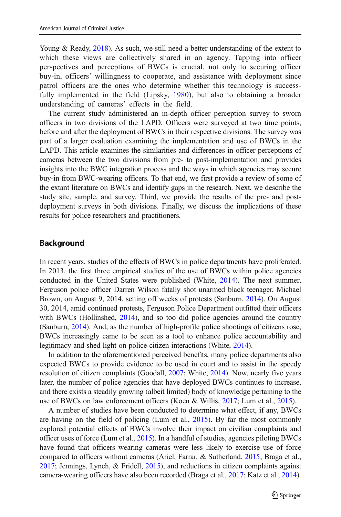Young & Ready, [2018\)](#page-26-0). As such, we still need a better understanding of the extent to which these views are collectively shared in an agency. Tapping into officer perspectives and perceptions of BWCs is crucial, not only to securing officer buy-in, officers' willingness to cooperate, and assistance with deployment since patrol officers are the ones who determine whether this technology is successfully implemented in the field (Lipsky, [1980](#page-25-0)), but also to obtaining a broader understanding of cameras' effects in the field.

The current study administered an in-depth officer perception survey to sworn officers in two divisions of the LAPD. Officers were surveyed at two time points, before and after the deployment of BWCs in their respective divisions. The survey was part of a larger evaluation examining the implementation and use of BWCs in the LAPD. This article examines the similarities and differences in officer perceptions of cameras between the two divisions from pre- to post-implementation and provides insights into the BWC integration process and the ways in which agencies may secure buy-in from BWC-wearing officers. To that end, we first provide a review of some of the extant literature on BWCs and identify gaps in the research. Next, we describe the study site, sample, and survey. Third, we provide the results of the pre- and postdeployment surveys in both divisions. Finally, we discuss the implications of these results for police researchers and practitioners.

### Background

In recent years, studies of the effects of BWCs in police departments have proliferated. In 2013, the first three empirical studies of the use of BWCs within police agencies conducted in the United States were published (White, [2014](#page-26-0)). The next summer, Ferguson police officer Darren Wilson fatally shot unarmed black teenager, Michael Brown, on August 9, 2014, setting off weeks of protests (Sanburn, [2014\)](#page-25-0). On August 30, 2014, amid continued protests, Ferguson Police Department outfitted their officers with BWCs (Hollinshed, [2014\)](#page-24-0), and so too did police agencies around the country (Sanburn, [2014](#page-25-0)). And, as the number of high-profile police shootings of citizens rose, BWCs increasingly came to be seen as a tool to enhance police accountability and legitimacy and shed light on police-citizen interactions (White, [2014](#page-26-0)).

In addition to the aforementioned perceived benefits, many police departments also expected BWCs to provide evidence to be used in court and to assist in the speedy resolution of citizen complaints (Goodall, [2007;](#page-24-0) White, [2014\)](#page-26-0). Now, nearly five years later, the number of police agencies that have deployed BWCs continues to increase, and there exists a steadily growing (albeit limited) body of knowledge pertaining to the use of BWCs on law enforcement officers (Koen & Willis, [2017;](#page-25-0) Lum et al., [2015\)](#page-25-0).

A number of studies have been conducted to determine what effect, if any, BWCs are having on the field of policing (Lum et al., [2015](#page-25-0)). By far the most commonly explored potential effects of BWCs involve their impact on civilian complaints and officer uses of force (Lum et al., [2015](#page-25-0)). In a handful of studies, agencies piloting BWCs have found that officers wearing cameras were less likely to exercise use of force compared to officers without cameras (Ariel, Farrar, & Sutherland, [2015](#page-24-0); Braga et al., [2017;](#page-24-0) Jennings, Lynch, & Fridell, [2015](#page-24-0)), and reductions in citizen complaints against camera-wearing officers have also been recorded (Braga et al., [2017](#page-24-0); Katz et al., [2014\)](#page-25-0).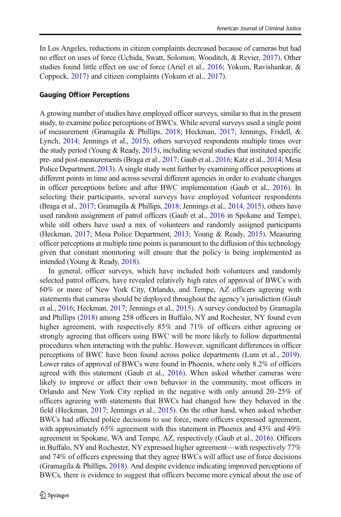In Los Angeles, reductions in citizen complaints decreased because of cameras but had no effect on uses of force (Uchida, Swatt, Solomon, Wooditch, & Revier, [2017](#page-26-0)). Other studies found little effect on use of force (Ariel et al., [2016;](#page-24-0) Yokum, Ravishankar, & Coppock, [2017](#page-26-0)) and citizen complaints (Yokum et al., [2017\)](#page-26-0).

### Gauging Officer Perceptions

A growing number of studies have employed officer surveys, similar to that in the present study, to examine police perceptions of BWCs. While several surveys used a single point of measurement (Gramagila & Phillips, [2018](#page-24-0); Heckman, [2017](#page-24-0); Jennings, Fridell, & Lynch, [2014](#page-24-0); Jennings et al., [2015\)](#page-24-0), others surveyed respondents multiple times over the study period (Young & Ready, [2015](#page-26-0)), including several studies that instituted specific pre- and post-measurements (Braga et al., [2017](#page-24-0); Gaub et al., [2016](#page-24-0); Katz et al., [2014;](#page-25-0) Mesa Police Department, [2013\)](#page-25-0). A single study went further by examining officer perceptions at different points in time and across several different agencies in order to evaluate changes in officer perceptions before and after BWC implementation (Gaub et al., [2016\)](#page-24-0). In selecting their participants, several surveys have employed volunteer respondents (Braga et al., [2017](#page-24-0); Gramagila & Phillips, [2018;](#page-24-0) Jennings et al., [2014](#page-24-0), [2015](#page-24-0)), others have used random assignment of patrol officers (Gaub et al., [2016](#page-24-0) in Spokane and Tempe), while still others have used a mix of volunteers and randomly assigned participants (Heckman, [2017;](#page-24-0) Mesa Police Department, [2013](#page-25-0); Young & Ready, [2015\)](#page-26-0). Measuring officer perceptions at multiple time points is paramount to the diffusion of this technology given that constant monitoring will ensure that the policy is being implemented as intended (Young & Ready, [2018\)](#page-26-0).

In general, officer surveys, which have included both volunteers and randomly selected patrol officers, have revealed relatively high rates of approval of BWCs with 60% or more of New York City, Orlando, and Tempe, AZ officers agreeing with statements that cameras should be deployed throughout the agency's jurisdiction (Gaub et al., [2016](#page-24-0); Heckman, [2017](#page-24-0); Jennings et al., [2015](#page-24-0)). A survey conducted by Gramagila and Phillips [\(2018\)](#page-24-0) among 258 officers in Buffalo, NY and Rochester, NY found even higher agreement, with respectively 85% and 71% of officers either agreeing or strongly agreeing that officers using BWC will be more likely to follow departmental procedures when interacting with the public. However, significant differences in officer perceptions of BWC have been found across police departments (Lum et al., [2019\)](#page-25-0). Lower rates of approval of BWCs were found in Phoenix, where only 8.2% of officers agreed with this statement (Gaub et al., [2016\)](#page-24-0). When asked whether cameras were likely to improve or affect their own behavior in the community, most officers in Orlando and New York City replied in the negative with only around 20–25% of officers agreeing with statements that BWCs had changed how they behaved in the field (Heckman, [2017;](#page-24-0) Jennings et al., [2015](#page-24-0)). On the other hand, when asked whether BWCs had affected police decisions to use force, more officers expressed agreement, with approximately 65% agreement with this statement in Phoenix and 43% and 49% agreement in Spokane, WA and Tempe, AZ, respectively (Gaub et al., [2016\)](#page-24-0). Officers in Buffalo, NY and Rochester, NY expressed higher agreement—with respectively 77% and 74% of officers expressing that they agree BWCs will affect use of force decisions (Gramagila & Phillips, [2018](#page-24-0)). And despite evidence indicating improved perceptions of BWCs, there is evidence to suggest that officers become more cynical about the use of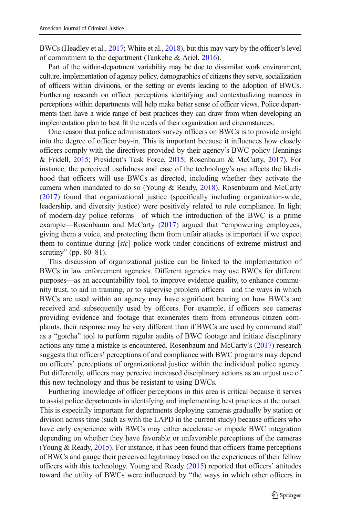BWCs (Headley et al., [2017](#page-24-0); White et al., [2018\)](#page-26-0), but this may vary by the officer's level of commitment to the department (Tankebe & Ariel, [2016\)](#page-25-0).

Part of the within-department variability may be due to dissimilar work environment, culture, implementation of agency policy, demographics of citizens they serve, socialization of officers within divisions, or the setting or events leading to the adoption of BWCs. Furthering research on officer perceptions identifying and contextualizing nuances in perceptions within departments will help make better sense of officer views. Police departments then have a wide range of best practices they can draw from when developing an implementation plan to best fit the needs of their organization and circumstances.

One reason that police administrators survey officers on BWCs is to provide insight into the degree of officer buy-in. This is important because it influences how closely officers comply with the directives provided by their agency's BWC policy (Jennings & Fridell, [2015](#page-24-0); President's Task Force, [2015](#page-25-0); Rosenbaum & McCarty, [2017](#page-25-0)). For instance, the perceived usefulness and ease of the technology's use affects the likelihood that officers will use BWCs as directed, including whether they activate the camera when mandated to do so (Young & Ready, [2018\)](#page-26-0). Rosenbaum and McCarty [\(2017](#page-25-0)) found that organizational justice (specifically including organization-wide, leadership, and diversity justice) were positively related to rule compliance. In light of modern-day police reforms—of which the introduction of the BWC is a prime example—Rosenbaum and McCarty [\(2017](#page-25-0)) argued that "empowering employees, giving them a voice, and protecting them from unfair attacks is important if we expect them to continue during [sic] police work under conditions of extreme mistrust and scrutiny" (pp.  $80-81$ ).

This discussion of organizational justice can be linked to the implementation of BWCs in law enforcement agencies. Different agencies may use BWCs for different purposes—as an accountability tool, to improve evidence quality, to enhance community trust, to aid in training, or to supervise problem officers—and the ways in which BWCs are used within an agency may have significant bearing on how BWCs are received and subsequently used by officers. For example, if officers see cameras providing evidence and footage that exonerates them from erroneous citizen complaints, their response may be very different than if BWCs are used by command staff as a "gotcha" tool to perform regular audits of BWC footage and initiate disciplinary actions any time a mistake is encountered. Rosenbaum and McCarty's ([2017](#page-25-0)) research suggests that officers' perceptions of and compliance with BWC programs may depend on officers' perceptions of organizational justice within the individual police agency. Put differently, officers may perceive increased disciplinary actions as an unjust use of this new technology and thus be resistant to using BWCs.

Furthering knowledge of officer perceptions in this area is critical because it serves to assist police departments in identifying and implementing best practices at the outset. This is especially important for departments deploying cameras gradually by station or division across time (such as with the LAPD in the current study) because officers who have early experience with BWCs may either accelerate or impede BWC integration depending on whether they have favorable or unfavorable perceptions of the cameras (Young & Ready, [2015](#page-26-0)). For instance, it has been found that officers frame perceptions of BWCs and gauge their perceived legitimacy based on the experiences of their fellow officers with this technology. Young and Ready [\(2015\)](#page-26-0) reported that officers' attitudes toward the utility of BWCs were influenced by "the ways in which other officers in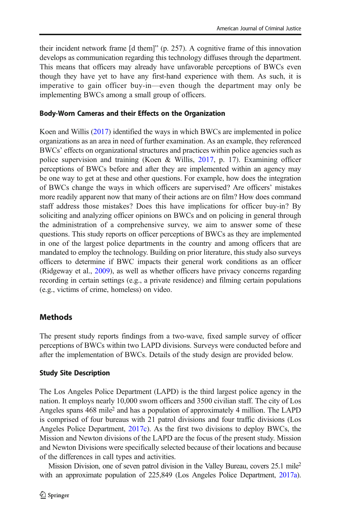their incident network frame [d them]" (p. 257). A cognitive frame of this innovation develops as communication regarding this technology diffuses through the department. This means that officers may already have unfavorable perceptions of BWCs even though they have yet to have any first-hand experience with them. As such, it is imperative to gain officer buy-in—even though the department may only be implementing BWCs among a small group of officers.

### Body-Worn Cameras and their Effects on the Organization

Koen and Willis [\(2017\)](#page-25-0) identified the ways in which BWCs are implemented in police organizations as an area in need of further examination. As an example, they referenced BWCs' effects on organizational structures and practices within police agencies such as police supervision and training (Koen & Willis, [2017](#page-25-0), p. 17). Examining officer perceptions of BWCs before and after they are implemented within an agency may be one way to get at these and other questions. For example, how does the integration of BWCs change the ways in which officers are supervised? Are officers' mistakes more readily apparent now that many of their actions are on film? How does command staff address those mistakes? Does this have implications for officer buy-in? By soliciting and analyzing officer opinions on BWCs and on policing in general through the administration of a comprehensive survey, we aim to answer some of these questions. This study reports on officer perceptions of BWCs as they are implemented in one of the largest police departments in the country and among officers that are mandated to employ the technology. Building on prior literature, this study also surveys officers to determine if BWC impacts their general work conditions as an officer (Ridgeway et al., [2009\)](#page-25-0), as well as whether officers have privacy concerns regarding recording in certain settings (e.g., a private residence) and filming certain populations (e.g., victims of crime, homeless) on video.

### **Methods**

The present study reports findings from a two-wave, fixed sample survey of officer perceptions of BWCs within two LAPD divisions. Surveys were conducted before and after the implementation of BWCs. Details of the study design are provided below.

### Study Site Description

The Los Angeles Police Department (LAPD) is the third largest police agency in the nation. It employs nearly 10,000 sworn officers and 3500 civilian staff. The city of Los Angeles spans  $468$  mile<sup>2</sup> and has a population of approximately 4 million. The LAPD is comprised of four bureaus with 21 patrol divisions and four traffic divisions (Los Angeles Police Department, [2017c](#page-25-0)). As the first two divisions to deploy BWCs, the Mission and Newton divisions of the LAPD are the focus of the present study. Mission and Newton Divisions were specifically selected because of their locations and because of the differences in call types and activities.

Mission Division, one of seven patrol division in the Valley Bureau, covers 25.1 mile<sup>2</sup> with an approximate population of 225,849 (Los Angeles Police Department, [2017a\)](#page-25-0).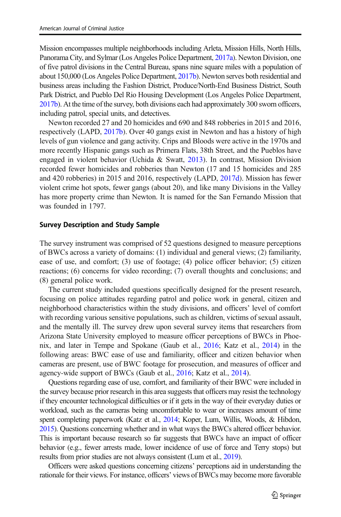Mission encompasses multiple neighborhoods including Arleta, Mission Hills, North Hills, Panorama City, and Sylmar (Los Angeles Police Department, [2017a](#page-25-0)). Newton Division, one of five patrol divisions in the Central Bureau, spans nine square miles with a population of about 150,000 (Los Angeles Police Department, [2017b](#page-25-0)). Newton serves both residential and business areas including the Fashion District, Produce/North-End Business District, South Park District, and Pueblo Del Rio Housing Development (Los Angeles Police Department, [2017b](#page-25-0)). At the time of the survey, both divisions each had approximately 300 sworn officers, including patrol, special units, and detectives.

Newton recorded 27 and 20 homicides and 690 and 848 robberies in 2015 and 2016, respectively (LAPD, [2017b](#page-25-0)). Over 40 gangs exist in Newton and has a history of high levels of gun violence and gang activity. Crips and Bloods were active in the 1970s and more recently Hispanic gangs such as Primera Flats, 38th Street, and the Pueblos have engaged in violent behavior (Uchida & Swatt, [2013\)](#page-25-0). In contrast, Mission Division recorded fewer homicides and robberies than Newton (17 and 15 homicides and 285 and 420 robberies) in 2015 and 2016, respectively (LAPD, [2017d](#page-25-0)). Mission has fewer violent crime hot spots, fewer gangs (about 20), and like many Divisions in the Valley has more property crime than Newton. It is named for the San Fernando Mission that was founded in 1797.

#### Survey Description and Study Sample

The survey instrument was comprised of 52 questions designed to measure perceptions of BWCs across a variety of domains: (1) individual and general views; (2) familiarity, ease of use, and comfort; (3) use of footage; (4) police officer behavior; (5) citizen reactions; (6) concerns for video recording; (7) overall thoughts and conclusions; and (8) general police work.

The current study included questions specifically designed for the present research, focusing on police attitudes regarding patrol and police work in general, citizen and neighborhood characteristics within the study divisions, and officers' level of comfort with recording various sensitive populations, such as children, victims of sexual assault, and the mentally ill. The survey drew upon several survey items that researchers from Arizona State University employed to measure officer perceptions of BWCs in Phoenix, and later in Tempe and Spokane (Gaub et al., [2016;](#page-24-0) Katz et al., [2014\)](#page-25-0) in the following areas: BWC ease of use and familiarity, officer and citizen behavior when cameras are present, use of BWC footage for prosecution, and measures of officer and agency-wide support of BWCs (Gaub et al., [2016;](#page-24-0) Katz et al., [2014\)](#page-25-0).

Questions regarding ease of use, comfort, and familiarity of their BWC were included in the survey because prior research in this area suggests that officers may resist the technology if they encounter technological difficulties or if it gets in the way of their everyday duties or workload, such as the cameras being uncomfortable to wear or increases amount of time spent completing paperwork (Katz et al., [2014](#page-25-0); Koper, Lum, Willis, Woods, & Hibdon, [2015\)](#page-25-0). Questions concerning whether and in what ways the BWCs altered officer behavior. This is important because research so far suggests that BWCs have an impact of officer behavior (e.g., fewer arrests made, lower incidence of use of force and Terry stops) but results from prior studies are not always consistent (Lum et al., [2019\)](#page-25-0).

Officers were asked questions concerning citizens' perceptions aid in understanding the rationale for their views. For instance, officers' views of BWCs may become more favorable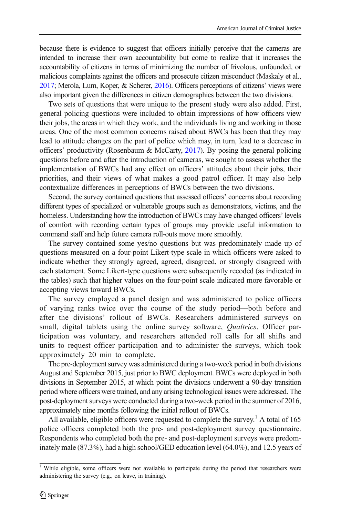because there is evidence to suggest that officers initially perceive that the cameras are intended to increase their own accountability but come to realize that it increases the accountability of citizens in terms of minimizing the number of frivolous, unfounded, or malicious complaints against the officers and prosecute citizen misconduct (Maskaly et al., [2017;](#page-25-0) Merola, Lum, Koper, & Scherer, [2016\)](#page-25-0). Officers perceptions of citizens' views were also important given the differences in citizen demographics between the two divisions.

Two sets of questions that were unique to the present study were also added. First, general policing questions were included to obtain impressions of how officers view their jobs, the areas in which they work, and the individuals living and working in those areas. One of the most common concerns raised about BWCs has been that they may lead to attitude changes on the part of police which may, in turn, lead to a decrease in officers' productivity (Rosenbaum & McCarty, [2017](#page-25-0)). By posing the general policing questions before and after the introduction of cameras, we sought to assess whether the implementation of BWCs had any effect on officers' attitudes about their jobs, their priorities, and their views of what makes a good patrol officer. It may also help contextualize differences in perceptions of BWCs between the two divisions.

Second, the survey contained questions that assessed officers' concerns about recording different types of specialized or vulnerable groups such as demonstrators, victims, and the homeless. Understanding how the introduction of BWCs may have changed officers' levels of comfort with recording certain types of groups may provide useful information to command staff and help future camera roll-outs move more smoothly.

The survey contained some yes/no questions but was predominately made up of questions measured on a four-point Likert-type scale in which officers were asked to indicate whether they strongly agreed, agreed, disagreed, or strongly disagreed with each statement. Some Likert-type questions were subsequently recoded (as indicated in the tables) such that higher values on the four-point scale indicated more favorable or accepting views toward BWCs.

The survey employed a panel design and was administered to police officers of varying ranks twice over the course of the study period—both before and after the divisions' rollout of BWCs. Researchers administered surveys on small, digital tablets using the online survey software, *Qualtrics*. Officer participation was voluntary, and researchers attended roll calls for all shifts and units to request officer participation and to administer the surveys, which took approximately 20 min to complete.

The pre-deployment survey was administered during a two-week period in both divisions August and September 2015, just prior to BWC deployment. BWCs were deployed in both divisions in September 2015, at which point the divisions underwent a 90-day transition period where officers were trained, and any arising technological issues were addressed. The post-deployment surveys were conducted during a two-week period in the summer of 2016, approximately nine months following the initial rollout of BWCs.

All available, eligible officers were requested to complete the survey.<sup>1</sup> A total of 165 police officers completed both the pre- and post-deployment survey questionnaire. Respondents who completed both the pre- and post-deployment surveys were predominately male (87.3%), had a high school/GED education level (64.0%), and 12.5 years of

<sup>&</sup>lt;sup>1</sup> While eligible, some officers were not available to participate during the period that researchers were administering the survey (e.g., on leave, in training).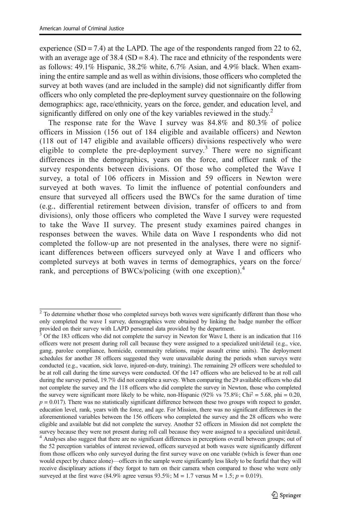experience  $(SD = 7.4)$  at the LAPD. The age of the respondents ranged from 22 to 62, with an average age of 38.4 ( $SD = 8.4$ ). The race and ethnicity of the respondents were as follows: 49.1% Hispanic, 38.2% white, 6.7% Asian, and 4.9% black. When examining the entire sample and as well as within divisions, those officers who completed the survey at both waves (and are included in the sample) did not significantly differ from officers who only completed the pre-deployment survey questionnaire on the following demographics: age, race/ethnicity, years on the force, gender, and education level, and significantly differed on only one of the key variables reviewed in the study.<sup>2</sup>

The response rate for the Wave I survey was 84.8% and 80.3% of police officers in Mission (156 out of 184 eligible and available officers) and Newton (118 out of 147 eligible and available officers) divisions respectively who were eligible to complete the pre-deployment survey.<sup>3</sup> There were no significant differences in the demographics, years on the force, and officer rank of the survey respondents between divisions. Of those who completed the Wave I survey, a total of 106 officers in Mission and 59 officers in Newton were surveyed at both waves. To limit the influence of potential confounders and ensure that surveyed all officers used the BWCs for the same duration of time (e.g., differential retirement between division, transfer of officers to and from divisions), only those officers who completed the Wave I survey were requested to take the Wave II survey. The present study examines paired changes in responses between the waves. While data on Wave I respondents who did not completed the follow-up are not presented in the analyses, there were no significant differences between officers surveyed only at Wave I and officers who completed surveys at both waves in terms of demographics, years on the force/ rank, and perceptions of BWCs/policing (with one exception).<sup>4</sup>

 $2$  To determine whether those who completed surveys both waves were significantly different than those who only completed the wave I survey, demographics were obtained by linking the badge number the officer provided on their survey with LAPD personnel data provided by the department.

<sup>3</sup> Of the 183 officers who did not complete the survey in Newton for Wave I, there is an indication that 116 officers were not present during roll call because they were assigned to a specialized unit/detail (e.g., vice, gang, parolee compliance, homicide, community relations, major assault crime units). The deployment schedules for another 38 officers suggested they were unavailable during the periods when surveys were conducted (e.g., vacation, sick leave, injured-on-duty, training). The remaining 29 officers were scheduled to be at roll call during the time surveys were conducted. Of the 147 officers who are believed to be at roll call during the survey period, 19.7% did not complete a survey. When comparing the 29 available officers who did not complete the survey and the 118 officers who did complete the survey in Newton, those who completed the survey were significant more likely to be white, non-Hispanic (92% vs 75.8%; Chi<sup>2</sup> = 5.68, phi = 0.20,  $p = 0.017$ ). There was no statistically significant difference between these two groups with respect to gender, education level, rank, years with the force, and age. For Mission, there was no significant differences in the aforementioned variables between the 156 officers who completed the survey and the 28 officers who were eligible and available but did not complete the survey. Another 52 officers in Mission did not complete the survey because they were not present during roll call because they were assigned to a specialized unit/detail. <sup>4</sup> Analyses also suggest that there are no significant differences in perceptions overall between groups; out of the 52 perception variables of interest reviewed, officers surveyed at both waves were significantly different from those officers who only surveyed during the first survey wave on one variable (which is fewer than one would expect by chance alone)—officers in the sample were significantly less likely to be fearful that they will receive disciplinary actions if they forgot to turn on their camera when compared to those who were only surveyed at the first wave (84.9% agree versus 93.5%; M = 1.7 versus M = 1.5;  $p = 0.019$ ).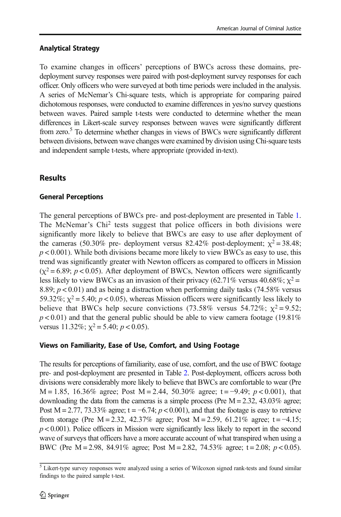## Analytical Strategy

To examine changes in officers' perceptions of BWCs across these domains, predeployment survey responses were paired with post-deployment survey responses for each officer. Only officers who were surveyed at both time periods were included in the analysis. A series of McNemar's Chi-square tests, which is appropriate for comparing paired dichotomous responses, were conducted to examine differences in yes/no survey questions between waves. Paired sample t-tests were conducted to determine whether the mean differences in Likert-scale survey responses between waves were significantly different from zero.<sup>5</sup> To determine whether changes in views of BWCs were significantly different between divisions, between wave changes were examined by division using Chi-square tests and independent sample t-tests, where appropriate (provided in-text).

# **Results**

# General Perceptions

The general perceptions of BWCs pre- and post-deployment are presented in Table [1.](#page-10-0) The McNemar's Chi2 tests suggest that police officers in both divisions were significantly more likely to believe that BWCs are easy to use after deployment of the cameras (50.30% pre- deployment versus 82.42% post-deployment;  $\chi^2$  = 38.48;  $p < 0.001$ ). While both divisions became more likely to view BWCs as easy to use, this trend was significantly greater with Newton officers as compared to officers in Mission  $(\chi^2 = 6.89; p < 0.05)$ . After deployment of BWCs, Newton officers were significantly less likely to view BWCs as an invasion of their privacy (62.71% versus 40.68%;  $\chi^2$  = 8.89;  $p < 0.01$ ) and as being a distraction when performing daily tasks (74.58% versus 59.32%;  $\chi^2$  = 5.40;  $p$  < 0.05), whereas Mission officers were significantly less likely to believe that BWCs help secure convictions (73.58% versus 54.72%;  $\chi^2 = 9.52$ ;  $p < 0.01$ ) and that the general public should be able to view camera footage (19.81%) versus 11.32%;  $\chi^2$  = 5.40;  $p$  < 0.05).

# Views on Familiarity, Ease of Use, Comfort, and Using Footage

The results for perceptions of familiarity, ease of use, comfort, and the use of BWC footage pre- and post-deployment are presented in Table [2.](#page-11-0) Post-deployment, officers across both divisions were considerably more likely to believe that BWCs are comfortable to wear (Pre M = 1.85, 16.36% agree; Post M = 2.44, 50.30% agree; t = −9.49;  $p < 0.001$ ), that downloading the data from the cameras is a simple process (Pre  $M = 2.32$ , 43.03% agree; Post M = 2.77, 73.33% agree; t =  $-6.74$ ;  $p < 0.001$ ), and that the footage is easy to retrieve from storage (Pre M = 2.32, 42.37% agree; Post M = 2.59, 61.21% agree; t = -4.15;  $p < 0.001$ ). Police officers in Mission were significantly less likely to report in the second wave of surveys that officers have a more accurate account of what transpired when using a BWC (Pre M = 2.98, 84.91% agree; Post M = 2.82, 74.53% agree; t = 2.08;  $p < 0.05$ ).

<sup>&</sup>lt;sup>5</sup> Likert-type survey responses were analyzed using a series of Wilcoxon signed rank-tests and found similar findings to the paired sample t-test.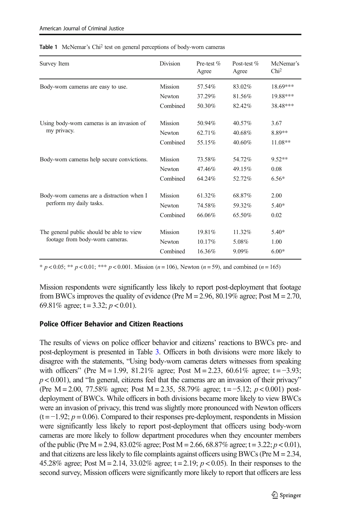| Survey Item                                | <b>Division</b> | Pre-test %<br>Agree | Post-test %<br>Agree | McNemar's<br>Chi <sup>2</sup> |
|--------------------------------------------|-----------------|---------------------|----------------------|-------------------------------|
| Body-worn cameras are easy to use.         | Mission         | 57.54%              | 83.02%               | $18.69***$                    |
|                                            | Newton          | 37.29%              | 81.56%               | 19.88***                      |
|                                            | Combined        | 50.30%              | 82.42%               | 38.48***                      |
| Using body-worn cameras is an invasion of  | Mission         | 50.94%              | 40.57%               | 3.67                          |
| my privacy.                                | Newton          | 62.71%              | 40.68%               | 8.89**                        |
|                                            | Combined        | 55.15%              | 40.60%               | $11.08**$                     |
| Body-worn cameras help secure convictions. | Mission         | 73.58%              | 54.72%               | $9.52**$                      |
|                                            | Newton          | 47.46%              | 49.15%               | 0.08                          |
|                                            | Combined        | 64.24%              | 52.72%               | $6.56*$                       |
| Body-worn cameras are a distraction when I | Mission         | 61.32%              | 68.87%               | 2.00                          |
| perform my daily tasks.                    | Newton          | 74.58%              | 59.32%               | $5.40*$                       |
|                                            | Combined        | 66.06%              | 65.50%               | 0.02                          |
| The general public should be able to view  | Mission         | 19.81%              | 11.32%               | $5.40*$                       |
| footage from body-worn cameras.            | Newton          | 10.17%              | 5.08%                | 1.00                          |
|                                            | Combined        | 16.36%              | 9.09%                | $6.00*$                       |

<span id="page-10-0"></span>

|  | Table 1 McNemar's Chi <sup>2</sup> test on general perceptions of body-worn cameras |  |  |  |  |
|--|-------------------------------------------------------------------------------------|--|--|--|--|
|--|-------------------------------------------------------------------------------------|--|--|--|--|

 $* p < 0.05$ ;  $* p < 0.01$ ;  $* * p < 0.001$ . Mission (n = 106), Newton (n = 59), and combined (n = 165)

Mission respondents were significantly less likely to report post-deployment that footage from BWCs improves the quality of evidence (Pre  $M = 2.96$ , 80.19% agree; Post  $M = 2.70$ , 69.81% agree;  $t = 3.32$ ;  $p < 0.01$ ).

#### Police Officer Behavior and Citizen Reactions

The results of views on police officer behavior and citizens' reactions to BWCs pre- and post-deployment is presented in Table [3.](#page-12-0) Officers in both divisions were more likely to disagree with the statements, "Using body-worn cameras deters witnesses from speaking with officers" (Pre M = 1.99, 81.21% agree; Post M = 2.23, 60.61% agree; t =  $-3.93$ ;  $p < 0.001$ ), and "In general, citizens feel that the cameras are an invasion of their privacy" (Pre M = 2.00, 77.58% agree; Post M = 2.35, 58.79% agree; t = -5.12;  $p < 0.001$ ) postdeployment of BWCs. While officers in both divisions became more likely to view BWCs were an invasion of privacy, this trend was slightly more pronounced with Newton officers  $(t = -1.92; p = 0.06)$ . Compared to their responses pre-deployment, respondents in Mission were significantly less likely to report post-deployment that officers using body-worn cameras are more likely to follow department procedures when they encounter members of the public (Pre M = 2.94, 83.02% agree; Post M = 2.66, 68.87% agree; t = 3.22;  $p < 0.01$ ), and that citizens are less likely to file complaints against officers using BWCs (Pre  $M = 2.34$ , 45.28% agree; Post  $M = 2.14$ , 33.02% agree; t = 2.19;  $p < 0.05$ ). In their responses to the second survey, Mission officers were significantly more likely to report that officers are less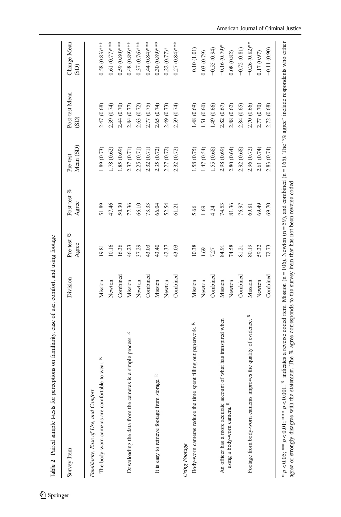<span id="page-11-0"></span>

| Survey Item                                                        | Division | Pre-test $\%$<br>Agree | Post-test $\%$<br>Agree | Mean (SD)<br>Pre-test | Post-test Mean<br>(SD) | Change Mean<br>(GS) |
|--------------------------------------------------------------------|----------|------------------------|-------------------------|-----------------------|------------------------|---------------------|
| Familiarity, Ease of Use, and Comfort                              |          |                        |                         |                       |                        |                     |
| The body-worn cameras are comfortable to wear. R                   | Mission  | 19.81                  | 51.89                   | .89(0.73)             | 2.47 (0.68)            | $0.58(0.83)$ ***    |
|                                                                    | Newton   | 10.16                  | 47.46                   | 1.78 (0.62)           | 2.39 (0.74)            | $0.61(0.77)$ ***    |
|                                                                    | Combined | 16.36                  | 50.30                   | 1.85(0.69)            | 2.44 (0.70)            | $0.59(0.80)$ ***    |
| Downloading the data from the cameras is a simple process. R       | Mission  | 46.23                  | 77.36                   | 2.37 (0.71)           | 2.84 (0.77)            | $0.48(0.89)$ ***    |
|                                                                    | Newton   | 37.29                  | 66.10                   | 2.25 (0.71)           | 2.63 (0.72)            | $0.37(0.76***$      |
|                                                                    | Combined | 43.03                  | 73.33                   | 2.32 (0.71)           | 2.77 (0.75)            | $0.44(0.84)$ ***    |
| It is easy to retrieve footage from storage. R                     | Mission  | 43.40                  | 66.04                   | 2.35 (0.72)           | 2.65 (0.74)            | $0.30(0.89)$ ***    |
|                                                                    | Newton   | 42.37                  | 52.54                   | 2.27 (0.72)           | 2.49 (0.73)            | $0.22(0.77)$ *      |
|                                                                    | Combined | 43.03                  | 61.21                   | 2.32(0.72)            | 2.59 (0.74)            | $0.27(0.84)$ ***    |
| Using Footage                                                      |          |                        |                         |                       |                        |                     |
| Body-worn cameras reduce the time spent filling out paperwork. R   | Mission  | 10.38                  | 5.66                    | 1.58 (0.75)           | 1.48(0.69)             | $-0.10(1.01)$       |
|                                                                    | Newton   | 1.69                   | 1.69                    | 1.47(0.54)            | 1.51 (0.60)            | 0.03(0.79)          |
|                                                                    | Combined | 7.27                   | 4.24                    | 1.55 (0.68)           | 1.49 (0.66)            | $-0.55(0.94)$       |
| An officer has a more accurate account of what has transpired when | Mission  | 84.91                  | 74.53                   | 2.98 (0.69)           | 2.82 (0.67)            | $-0.16(0.79)$ *     |
| using a body-worn camera.                                          | Newton   | 74.58                  | 81.36                   | 2.80(0.64)            | 2.88 (0.62)            | 0.08(0.82)          |
|                                                                    | Combined | 81.21                  | 76.97                   | 2.92(0.68)            | 2.84 (0.65)            | $-0.72(0.81)$       |
| Footage from body-worn cameras improves the quality of evidence. R | Mission  | 80.19                  | 69.81                   | 2.96 (0.72)           | 2.70 (0.66)            | $-0.26(0.82)$ **    |
|                                                                    | Newton   | 59.32                  | 69.49                   | 2.61 (0.74)           | 2.77 (0.70)            | 0.17(0.97)          |
|                                                                    | Combined | 72.73                  | 69.70                   | 2.83 (0.74)           | 2.72 (0.68)            | $-0.11(0.90)$       |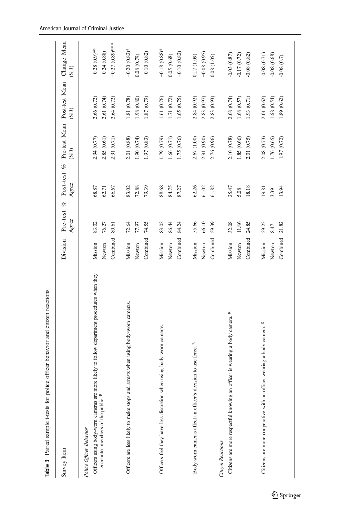<span id="page-12-0"></span>

| Survey Item                                                                                      | Division                      | Pre-test %<br>Agree     | Post-test %<br>Agree    | Pre-test Mean Post-test Mean<br>(SD)      | (SD)                                        | Change Mean<br>(SD)                             |
|--------------------------------------------------------------------------------------------------|-------------------------------|-------------------------|-------------------------|-------------------------------------------|---------------------------------------------|-------------------------------------------------|
| Officers using body-wom cameras are more likely to follow department procedures when they        | Combined                      | 83.02                   | 68.87                   | 2.94 (0.77)                               | 2.61 (0.74)                                 | $-0.27(0.89)$ ***                               |
| encounter members of the public. R                                                               | Mission                       | 76.27                   | 66.67                   | 2.85(0.61)                                | 2.66 (0.72)                                 | $-0.28(0.9)$ **                                 |
| Police Officer Behavior                                                                          | Newton                        | 80.61                   | 62.71                   | 2.91 (0.71)                               | 2.64 (0.72)                                 | $-0.24(0.88)$                                   |
| arrests when using body-worn cameras.<br>Officers are less likely to make stops and              | Combined<br>Mission<br>Newton | 72.64<br>74.55<br>77.97 | 83.02<br>72.88<br>79.39 | 1.90(0.74)<br>2.01 (0.88)<br>1.97 (0.83)  | $(0.80)$ 86.1<br>1.81 (0.78)<br>1.87 (0.79) | $-0.20(0.82)$ *<br>$-0.10(0.82)$<br>0.08(0.79)  |
| Officers feel they have less discretion when using body-wom cameras.                             | Combined                      | 83.02                   | 88.68                   | 1.79 (0.79)                               | 1.61(0.76)                                  | $-0.18(0.88)$ *                                 |
|                                                                                                  | Mission                       | 86.44                   | 84.75                   | 1.66 (0.71)                               | 1.71(0.72)                                  | $-0.10(0.82)$                                   |
|                                                                                                  | Newton                        | 84.24                   | 87.27                   | 1.75 (0.76)                               | 1.65 (0.75)                                 | 0.05(0.68)                                      |
| Body-worn cameras affect an officer's decision to use force. R                                   | Combined                      | 55.66                   | 62.26                   | 2.67 (1.00)                               | 2.84 (0.92)                                 | $-0.08(0.95)$                                   |
|                                                                                                  | Mission                       | 66.10                   | 61.02                   | 2.91 (0.90)                               | 2.83 (0.97)                                 | 0.17(1.09)                                      |
|                                                                                                  | Newton                        | 59.39                   | 61.82                   | 2.76 (0.96)                               | 2.83 (0.93)                                 | 0.08(1.05)                                      |
| Citizens are more respectful knowing an officer is wearing a body camera. R<br>Citizen Reactions | Combined<br>Mission<br>Newton | 32.08<br>11.86<br>24.85 | 18.18<br>25.47<br>5.08  | 2.10 (0.78)<br>1.85 (0.66)<br>2.01 (0.75) | 2.08 (0.74)<br>1.68 (0.57)<br>(.53)(0.71)   | $-0.03(0.87)$<br>$-0.17(0.72)$<br>$-0.08(0.82)$ |
| Citizens are more cooperative with an officer wearing a body camera. R                           | Combined                      | 29.25                   | 13.94                   | 2.08 (0.73)                               | 1.68(0.54)                                  | $-0.08(0.71)$                                   |
|                                                                                                  | Mission                       | 21.82                   | 19.81                   | 1.76 (0.65)                               | 2.01 (0.62)                                 | $-0.08(0.68)$                                   |
|                                                                                                  | Newton                        | 8.47                    | 3.39                    | 1.97 (0.72)                               | 1.89 (0.62)                                 | $-0.08$ $(0.7)$                                 |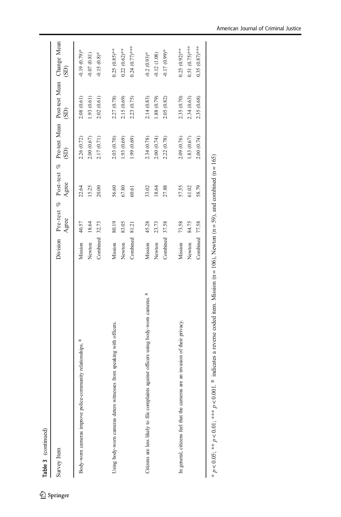Table 3 (continued) Table 3 (continued)

| Survey Item                                                                             |                     | Agree          | Agree          | (SD)                       | Division Pre-test % Post-test % Pre-test Mean Post-test Mean Change Mean<br>$\rm (SD)$ | (SD)                                  |
|-----------------------------------------------------------------------------------------|---------------------|----------------|----------------|----------------------------|----------------------------------------------------------------------------------------|---------------------------------------|
| Body-wom cameras improve police-community relationships. R                              | Newton<br>Mission   | 18.64<br>40.57 | 22.64<br>15.25 | 2.00(0.67)<br>2.26 (0.72)  | 2.08(0.61)<br>1.93(0.61)                                                               | $-0.19(0.79)$ *<br>$-0.07(0.81)$      |
| Using body-worn cameras deters witnesses from speaking with officers.                   | Combined<br>Mission | 80.19<br>32.73 | 20.00<br>56.60 | 2.17 (0.71)<br>2.03 (0.70) | 2.27 (0.78)<br>2.02(0.61)                                                              | $0.25(0.85)$ **<br>$-0.15(0.8)$ *     |
|                                                                                         | Combined<br>Newton  | 83.05<br>81.21 | 67.80<br>60.61 | 1.93 (0.69)<br>1.99 (0.69) | 2.15 (0.69)<br>2.23 (0.75)                                                             | $0.24$ $(0.77)***$<br>$0.22(0.62)$ ** |
| Citizens are less likely to file complaints against officers using body-worn cameras. R | Mission             | 45.28          | 33.02          | 2.34 (0.78)                | 2.14 (0.83)                                                                            | $-0.2(0.93)$ *                        |
|                                                                                         | Newton              | 23.73          | 18.64          | 2.00(0.74)                 | 1.88(0.79)                                                                             | $-0.12(1.08)$                         |
| are an invasion of their privacy.<br>In general, citizens feel that the cameras         | Combined<br>Mission | 37.58<br>73.58 | 27.88<br>57.55 | 2.22 (0.78)<br>2.09 (0.76) | 2.35 (0.70)<br>2.05(0.82)                                                              | $0.25(0.92)$ **<br>$-0.17(0.99)*$     |
|                                                                                         | Newton              | 84.75          | 61.02          | 1.83 (0.67)                | 2.34(0.63)                                                                             | $0.51(0.75)$ ***                      |
|                                                                                         | Combined            | 77.58          | 58.79          | 2.00 (0.74)                | 2.35 (0.68)                                                                            | $0.35(0.87)$ ***                      |
|                                                                                         |                     |                |                |                            |                                                                                        |                                       |

 $* p \lt 0.05; ** p \lt 0.01; *** p \lt 0.0001$ . R indicates a reverse coded item. Mission (n = 106), Newton (n = 59), and combined (n = 165) \* p < 0.05; \*\*\* p < 0.01; \*\*\* p < 0.001. R indicates a reverse coded item. Mission (n = 106), Newton (n = 59), and combined (n = 165)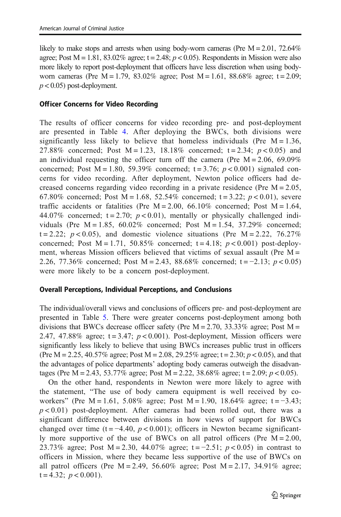likely to make stops and arrests when using body-worn cameras (Pre  $M = 2.01$ , 72.64%) agree; Post  $M = 1.81$ , 83.02% agree; t = 2.48;  $p < 0.05$ ). Respondents in Mission were also more likely to report post-deployment that officers have less discretion when using bodyworn cameras (Pre  $M = 1.79$ , 83.02% agree; Post  $M = 1.61$ , 88.68% agree; t = 2.09;  $p < 0.05$ ) post-deployment.

#### Officer Concerns for Video Recording

The results of officer concerns for video recording pre- and post-deployment are presented in Table [4.](#page-15-0) After deploying the BWCs, both divisions were significantly less likely to believe that homeless individuals (Pre  $M = 1.36$ , 27.88% concerned; Post  $M = 1.23$ , 18.18% concerned; t = 2.34;  $p < 0.05$ ) and an individual requesting the officer turn off the camera (Pre  $M = 2.06, 69.09\%$ ) concerned; Post  $M = 1.80$ , 59.39% concerned;  $t = 3.76$ ;  $p < 0.001$ ) signaled concerns for video recording. After deployment, Newton police officers had decreased concerns regarding video recording in a private residence (Pre  $M = 2.05$ , 67.80% concerned; Post  $M = 1.68$ , 52.54% concerned; t = 3.22;  $p < 0.01$ ), severe traffic accidents or fatalities (Pre  $M = 2.00, 66.10\%$  concerned; Post  $M = 1.64$ , 44.07% concerned;  $t = 2.70$ ;  $p < 0.01$ ), mentally or physically challenged individuals (Pre  $M = 1.85, 60.02\%$  concerned; Post  $M = 1.54, 37.29\%$  concerned;  $t = 2.22$ ;  $p < 0.05$ ), and domestic violence situations (Pre M = 2.22, 76.27%) concerned; Post  $M = 1.71$ , 50.85% concerned; t = 4.18;  $p < 0.001$ ) post-deployment, whereas Mission officers believed that victims of sexual assault (Pre  $M =$ 2.26, 77.36% concerned; Post M = 2.43, 88.68% concerned; t = -2.13;  $p < 0.05$ ) were more likely to be a concern post-deployment.

### Overall Perceptions, Individual Perceptions, and Conclusions

The individual/overall views and conclusions of officers pre- and post-deployment are presented in Table [5](#page-17-0). There were greater concerns post-deployment among both divisions that BWCs decrease officer safety (Pre  $M = 2.70$ , 33.33% agree; Post  $M =$ 2.47, 47.88% agree;  $t = 3.47$ ;  $p < 0.001$ ). Post-deployment, Mission officers were significantly less likely to believe that using BWCs increases public trust in officers (Pre M = 2.25, 40.57% agree; Post M = 2.08, 29.25% agree; t = 2.30;  $p < 0.05$ ), and that the advantages of police departments' adopting body cameras outweigh the disadvantages (Pre M = 2.43, 53.77% agree; Post M = 2.22, 38.68% agree; t = 2.09;  $p < 0.05$ ).

On the other hand, respondents in Newton were more likely to agree with the statement, "The use of body camera equipment is well received by coworkers" (Pre M = 1.61, 5.08% agree; Post M = 1.90, 18.64% agree; t =  $-3.43$ ;  $p < 0.01$ ) post-deployment. After cameras had been rolled out, there was a significant difference between divisions in how views of support for BWCs changed over time (t =  $-4.40$ ,  $p < 0.001$ ); officers in Newton became significantly more supportive of the use of BWCs on all patrol officers (Pre  $M = 2.00$ , 23.73% agree; Post M = 2.30, 44.07% agree; t = -2.51;  $p < 0.05$ ) in contrast to officers in Mission, where they became less supportive of the use of BWCs on all patrol officers (Pre  $M = 2.49$ , 56.60% agree; Post  $M = 2.17$ , 34.91% agree;  $t = 4.32$ ;  $p < 0.001$ ).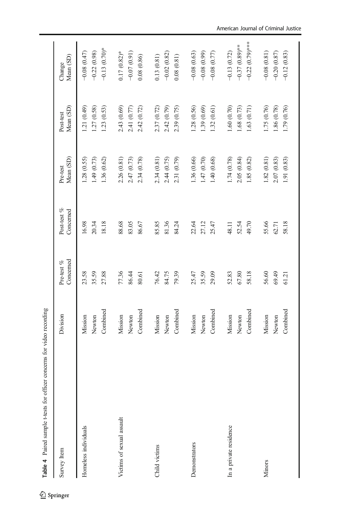<span id="page-15-0"></span>

| Table 4 Paired sample t-tests for officer concerns for video recording |          |                            |                          |                       |                        |                     |
|------------------------------------------------------------------------|----------|----------------------------|--------------------------|-----------------------|------------------------|---------------------|
| Survey Item                                                            | Division | Concerned<br>Pre-test $\%$ | Post-test %<br>Concerned | Mean (SD)<br>Pre-test | Mean (SD)<br>Post-test | Mean (SD)<br>Change |
| Homeless individuals                                                   | Mission  | 23.58                      | 16.98                    | 1.28(0.55)            | 1.21(0.49)             | $-0.08(0.47)$       |
|                                                                        | Newton   | 35.59                      | 20.34                    | 1.49 (0.73)           | 1.27(0.58)             | $-0.22(0.98)$       |
|                                                                        | Combined | 27.88                      | 18.18                    | 1.36 (0.62)           | 1.23(0.53)             | $-0.13(0.70)$ *     |
| Victims of sexual assault                                              | Mission  | 77.36                      | 88.68                    | 2.26 (0.81)           | 2.43 (0.69)            | $0.17(0.82)$ *      |
|                                                                        | Newton   | 86.44                      | 83.05                    | 2.47 (0.73)           | 2.41 (0.77)            | $-0.07(0.91)$       |
|                                                                        | Combined | 80.61                      | 86.67                    | 2.34 (0.78)           | 2.42 (0.72)            | 0.08(0.86)          |
| Child victims                                                          | Mission  | 76.42                      | 85.85                    | 2.34(0.81)            | 2.37 (0.72)            | 0.13(0.81)          |
|                                                                        | Newton   | 84.75                      | 81.36                    | 2.44 (0.75)           | 2.42 (0.79)            | $-0.02(0.82)$       |
|                                                                        | Combined | 79.39                      | 84.24                    | 2.31 (0.79)           | 2.39 (0.75)            | 0.08(0.81)          |
| Demonstrators                                                          | Mission  | 25.47                      | 22.64                    | 1.36 (0.66)           | 1.28 (0.56)            | $-0.08(0.63)$       |
|                                                                        | Newton   | 35.59                      | 27.12                    | 1.47 (0.70)           | 1.39(0.69)             | $-0.08(0.99)$       |
|                                                                        | Combined | 29.09                      | 25.47                    | 1.40 (0.68)           | 1.32(0.61)             | $-0.08$ $(0.77)$    |
| In a private residence                                                 | Mission  | 52.83                      | 48.11                    | 1.74 (0.78)           | 1.60 (0.70)            | $-0.13(0.72)$       |
|                                                                        | Newton   | 67.80                      | 52.54                    | 2.05(0.84)            | 1.68 (0.73)            | $-0.37(0.89)$ **    |
|                                                                        | Combined | 58.18                      | 49.70                    | 1.85(0.82)            | 1.63 (0.71)            | $-0.22(0.79)$ ***   |
| Minors                                                                 | Mission  | 56.60                      | 55.66                    | 1.82(0.81)            | 1.75 (0.76)            | $-0.08(0.81)$       |
|                                                                        | Newton   | 69.49                      | 62.71                    | 2.07(0.83)            | 0.86(0.78)             | $-0.20(0.87)$       |
|                                                                        | Combined | 61.21                      | 58.18                    | 1.91 (0.83)           | 1.79 (0.76)            | $-0.12(0.83)$       |
|                                                                        |          |                            |                          |                       |                        |                     |

#### American Journal of Criminal Justice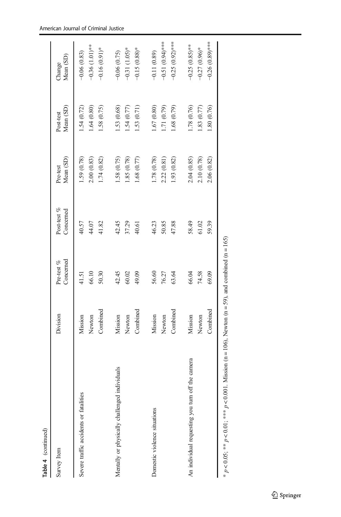| J |
|---|
|   |
|   |
|   |

| Table 4 (continued)                                                                                         |                   |                         |                          |                           |                          |                                   |
|-------------------------------------------------------------------------------------------------------------|-------------------|-------------------------|--------------------------|---------------------------|--------------------------|-----------------------------------|
| Survey Item                                                                                                 | Division          | Concerned<br>Pre-test % | Post-test %<br>Concerned | Mean (SD)<br>Pre-test     | Mean (SD)<br>Post-test   | Mean (SD)<br>Change               |
| Severe traffic accidents or fatalities                                                                      | Newton<br>Mission | 66.10<br>41.51          | 40.57<br>44.07           | 1.59 (0.78)<br>2.00(0.83) | 1.64(0.80)<br>1.54(0.72) | $-0.36$ (1.01)**<br>$-0.06(0.83)$ |
|                                                                                                             | Combined          | 50.30                   | 41.82                    | 1.74 (0.82)               | 1.58 (0.75)              | $-0.16(0.91)$ *                   |
| Mentally or physically challenged individuals                                                               | Mission           | 42.45                   | 42.45                    | 1.58 (0.75)               | 1.53(0.68)               | $-0.06(0.75)$                     |
|                                                                                                             | Newton            | 60.02                   | 37.29                    | 1.85(0.78)                | 1.54(0.77)               | $-0.31$ $(1.05)$ *                |
|                                                                                                             | Combined          | 49.09                   | 40.61                    | 1.68 (0.77)               | 1.53(0.71)               | $-0.15(0.88)$ *                   |
| Domestic violence situations                                                                                | Mission           | 56.60                   | 46.23                    | 1.78 (0.78)               | 1.67(0.80)               | $-0.11(0.89)$                     |
|                                                                                                             | Newton            | 76.27                   | 50.85                    | 2.22(0.81)                | (0.71) (0.79)            | $-0.51(0.94)$ ***                 |
|                                                                                                             | Combined          | 63.64                   | 47.88                    | 1.93 (0.82)               | 1.68(0.79)               | $-0.25(0.92)$ ***                 |
| An individual requesting you turn off the camera                                                            | Mission           | 66.04                   | 58.49                    | 2.04(0.85)                | 1.78 (0.76)              | $-0.25$ $(0.85)$ **               |
|                                                                                                             | Newton            | 74.58                   | 61.02                    | 2.10 (0.78)               | 1.83(0.77)               | $-0.27(0.96)$ *                   |
|                                                                                                             | Combined          | 69.09                   | 59.39                    | 2.06 (0.82)               | 1.80 (0.76)              | $-0.26$ $(0.89)$ ***              |
| * $p < 0.05$ ; ** $p < 0.01$ ; *** $p < 0.001$ . Mission (n = 106), Newton (n = 59), and combined (n = 165) |                   |                         |                          |                           |                          |                                   |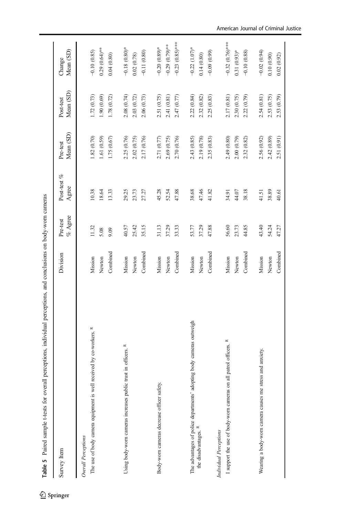<span id="page-17-0"></span>

|                                                                             | Division          | $\%$ Agree<br>Pre-test | Post-test %<br>Agree | Mean (SD)<br>Pre-test   | Mean (SD)<br>Post-test    | Mean (SD)<br>Change              |
|-----------------------------------------------------------------------------|-------------------|------------------------|----------------------|-------------------------|---------------------------|----------------------------------|
|                                                                             |                   |                        |                      |                         |                           |                                  |
| The use of body camera equipment is well received by co-workers. R          | Mission<br>Newton | 11.32<br>5.08          | 10.38<br>18.64       | .82(0.70)<br>1.61(0.59) | 1.72 (0.73)<br>1.90(0.69) | $0.29(0.64)$ **<br>$-0.10(0.85)$ |
|                                                                             | Combined          | 9.09                   | 13.33                | 1.75 (0.67)             | 1.78 (0.72)               | 0.04(0.80)                       |
| Using body-worn cameras increases public trust in officers. R               | Mission           | 40.57                  | 29.25                | 2.25 (0.76)             | 2.08 (0.74)               | $-0.18(0.80)$ *                  |
|                                                                             | Newton            | 25.42                  | 23.73                | 2.02 (0.75)             | 2.03 (0.72)               | 0.02(0.78)                       |
|                                                                             | Combined          | 35.15                  | 27.27                | 2.17 (0.76)             | 2.06 (0.73)               | $-0.11(0.80)$                    |
| Body-worn cameras decrease officer safety.                                  | Mission           | 31.13                  | 45.28                | 2.71 (0.77)             | 2.51 (0.75)               | $-0.20(0.89)$ *                  |
|                                                                             | Newton            | 37.29                  | 52.54                | 2.69 (0.75)             | 2.41 (0.81)               | $-0.29(0.79)$ **                 |
|                                                                             | Combined          | 33.33                  | 47.88                | 2.70 (0.76)             | 2.47 (0.77)               | $-0.23(0.85)$ ***                |
| The advantages of police departments' adopting body cameras outweigh        | Mission           | 53.77                  | 38.68                | 2.43 (0.85)             | 2.22 (0.84)               | $-0.22$ $(1.07)$ *               |
| the disadvantages.                                                          | Newton            | 37.29                  | 47.46                | 2.19 (0.78)             | 2.32 (0.82)               | 0.14(0.80)                       |
|                                                                             | Combined          | 47.88                  | 41.82                | 2.35 (0.83)             | 2.25 (0.83)               | $-0.09(0.99)$                    |
| Individual Perceptions                                                      |                   |                        |                      |                         |                           |                                  |
| $\approx$<br>I support the use of body-worn cameras on all patrol officers. | Mission           | 56.60                  | 34.91                | 2.49 (0.80)             | 2.17 (0.81)               | $-0.32(0.76)$ ***                |
|                                                                             | Newton            | 23.73                  | 44.07                | 2.00 (0.79)             | 2.30 (0.75)               | $0.31(0.93)*$                    |
|                                                                             | Combined          | 44.85                  | 38.18                | 2.32 (0.82)             | 2.22 (0.79)               | $-0.10(0.88)$                    |
| Wearing a body-worn camera causes me stress and anxiety.                    | Mission           | 43.40                  | 41.51                | 2.56 (0.92)             | 2.54 (0.81)               | $-0.02(0.94)$                    |
|                                                                             | Newton            | 54.24                  | 38.89                | 2.42 (0.89)             | 2.53 (0.75)               | 0.10(0.90)                       |
|                                                                             | Combined          | 47.27                  | 40.61                | 2.51 (0.91)             | 2.53 (0.79)               | 0.02(0.92)                       |
|                                                                             |                   |                        |                      |                         |                           |                                  |

Table 5 Paired sample t-tests for overall perceptions, individual perceptions, and conclusions on body-worn cameras conclusions on body-w and. entions individual nercentions Í overall n cample t-tests for Table 5 Paired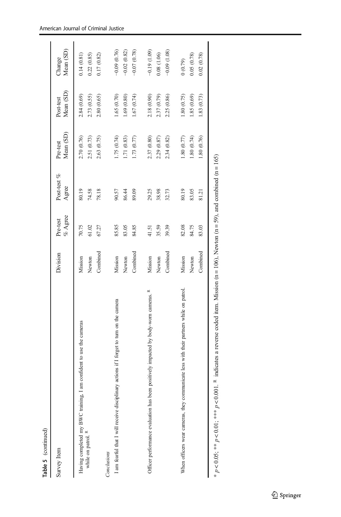| Ξ      | ┕ |
|--------|---|
| ⋍<br>ਨ | 2 |

| Survey Item                                                                                                                                         | Division                      | $\%$ Agree<br>Pre-test  | Post-test %<br>Agree    | Mean (SD)<br>Pre-test                    | Mean (SD)<br>Post-test                  | Mean (SD)<br>Change                          |
|-----------------------------------------------------------------------------------------------------------------------------------------------------|-------------------------------|-------------------------|-------------------------|------------------------------------------|-----------------------------------------|----------------------------------------------|
| Having completed my BWC training, I am confident to use the cameras<br>while on patrol. R                                                           | Newton<br>Mission             | 70.75<br>61.02          | 80.19<br>74.58          | 2.70 (0.76)<br>2.51 (0.73)               | 2.84 (0.69)<br>2.73 (0.55)              | 0.14(0.81)<br>0.22(0.85)                     |
| I am fearful that I will receive disciplinary actions if I forget to turn on the camera<br>Conclusions                                              | Combined<br>Mission<br>Newton | 85.85<br>83.05<br>67.27 | 78.18<br>90.57<br>86.44 | 1.75 (0.74)<br>2.63 (0.75)<br>1.71(0.83) | 1.65(0.70)<br>2.80 (0.65)<br>1.69(0.80) | $-0.09(0.76)$<br>$-0.02(0.82)$<br>0.17(0.82) |
|                                                                                                                                                     | Combined                      | 84.85                   | 89.09                   | 1.73 (0.77)                              | 1.67(0.74)                              | $-0.07(0.78)$                                |
| Officer performance evaluation has been positively impacted by body-worn cameras. R                                                                 | Mission<br>Newton             | 35.59<br>41.51          | 38.98<br>29.25          | 2.37 (0.80)<br>2.29 (0.87)               | 2.18 (0.90)<br>2.37 (0.79)              | $-0.19(1.09)$<br>0.08(1.06)                  |
|                                                                                                                                                     | Combined                      | 39.39                   | 32.73                   | 2.34 (0.82)                              | 2.25 (0.86)                             | $-0.09$ $(1.08)$                             |
| When officers wear cameras, they communicate less with their partners while on patrol                                                               | Mission                       | 82.08                   | 80.19                   | (.80)(0.77)                              | (.8000.75)                              | (0.79)                                       |
|                                                                                                                                                     | Combined<br>Newton            | 84.75<br>83.03          | 83.05<br>81.21          | 1.80 (0.76)<br>1.80(0.74)                | 1.85(0.69)<br>1.83(0.73)                | 0.05(0.78)<br>0.02(0.78)                     |
| $1. R$ indicates a reverse coded item. Mission (n = 106), Newton (n = 59), and combined (n = 165).<br>* $p < 0.05$ ; ** $p < 0.1$ ; *** $p < 0.001$ |                               |                         |                         |                                          |                                         |                                              |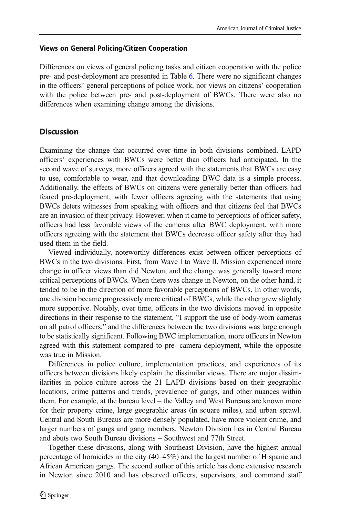### Views on General Policing/Citizen Cooperation

Differences on views of general policing tasks and citizen cooperation with the police pre- and post-deployment are presented in Table [6](#page-20-0). There were no significant changes in the officers' general perceptions of police work, nor views on citizens' cooperation with the police between pre- and post-deployment of BWCs. There were also no differences when examining change among the divisions.

### **Discussion**

Examining the change that occurred over time in both divisions combined, LAPD officers' experiences with BWCs were better than officers had anticipated. In the second wave of surveys, more officers agreed with the statements that BWCs are easy to use, comfortable to wear, and that downloading BWC data is a simple process. Additionally, the effects of BWCs on citizens were generally better than officers had feared pre-deployment, with fewer officers agreeing with the statements that using BWCs deters witnesses from speaking with officers and that citizens feel that BWCs are an invasion of their privacy. However, when it came to perceptions of officer safety, officers had less favorable views of the cameras after BWC deployment, with more officers agreeing with the statement that BWCs decrease officer safety after they had used them in the field.

Viewed individually, noteworthy differences exist between officer perceptions of BWCs in the two divisions. First, from Wave I to Wave II, Mission experienced more change in officer views than did Newton, and the change was generally toward more critical perceptions of BWCs. When there was change in Newton, on the other hand, it tended to be in the direction of more favorable perceptions of BWCs. In other words, one division became progressively more critical of BWCs, while the other grew slightly more supportive. Notably, over time, officers in the two divisions moved in opposite directions in their response to the statement, "I support the use of body-worn cameras on all patrol officers," and the differences between the two divisions was large enough to be statistically significant. Following BWC implementation, more officers in Newton agreed with this statement compared to pre- camera deployment, while the opposite was true in Mission.

Differences in police culture, implementation practices, and experiences of its officers between divisions likely explain the dissimilar views. There are major dissimilarities in police culture across the 21 LAPD divisions based on their geographic locations, crime patterns and trends, prevalence of gangs, and other nuances within them. For example, at the bureau level – the Valley and West Bureaus are known more for their property crime, large geographic areas (in square miles), and urban sprawl. Central and South Bureaus are more densely populated, have more violent crime, and larger numbers of gangs and gang members. Newton Division lies in Central Bureau and abuts two South Bureau divisions – Southwest and 77th Street.

Together these divisions, along with Southeast Division, have the highest annual percentage of homicides in the city (40–45%) and the largest number of Hispanic and African American gangs. The second author of this article has done extensive research in Newton since 2010 and has observed officers, supervisors, and command staff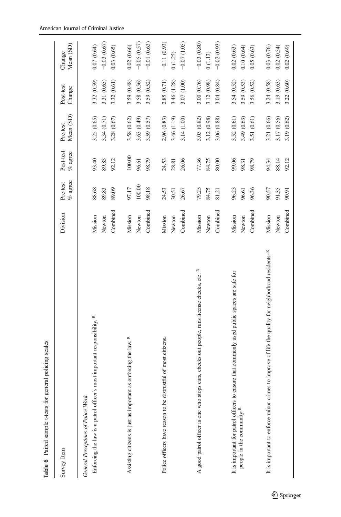<span id="page-20-0"></span>

| Table 6 Paired sample t-tests for general policing scales                                            |          |                        |                         |                       |                     |                     |
|------------------------------------------------------------------------------------------------------|----------|------------------------|-------------------------|-----------------------|---------------------|---------------------|
| Survey Item                                                                                          | Division | $\%$ agree<br>Pre-test | Post-test<br>$\%$ agree | Mean (SD)<br>Pre-test | Post-test<br>Change | Mean (SD)<br>Change |
| General Perceptions of Police Work                                                                   |          |                        |                         |                       |                     |                     |
| Enforcing the law is a patrol officer's most important responsibility. R                             | Mission  | 88.68                  | 93.40                   | 3.25 (0.65)           | 3.32 (0.59)         | 0.07(0.64)          |
|                                                                                                      | Newton   | 89.83                  | 89.83                   | 3.34 (0.71)           | 3.31 (0.65)         | $-0.03(0.67)$       |
|                                                                                                      | Combined | 89.09                  | 92.12                   | 3.28 (0.67)           | 3.32 (0.61)         | 0.03(0.65)          |
| as enforcing the law. R<br>Assisting citizens is just as important                                   | Mission  | 97.17                  | 100.00                  | 3.58 (0.62)           | 3.59 (0.48)         | 0.02(0.66)          |
|                                                                                                      | Newton   | 100.00                 | 96.61                   | 3.63 (0.49)           | 3.58 (0.56)         | $-0.05(0.57)$       |
|                                                                                                      | Combined | 98.18                  | 98.79                   | 3.59 (0.57)           | 3.59 (0.52)         | $-0.01(0.63)$       |
| Police officers have reason to be distrustful of most citizens.                                      | Mission  | 24.53                  | 24.53                   | 2.96 (0.83)           | 2.85 (0.71)         | $-0.11(0.93)$       |
|                                                                                                      | Newton   | 30.51                  | 28.81                   | 3.46 (1.19)           | 3.46 (1.28)         | 0(1.25)             |
|                                                                                                      | Combined | 26.67                  | 26.06                   | 3.14 (1.00)           | 3.07 (1.00)         | $-0.07(1.05)$       |
| A good patrol officer is one who stops cars, checks out people, runs license checks, etc. R          | Mission  | 79.25                  | 77.36                   | 3.03 (0.82)           | 3.00 (0.76)         | $-0.03(0.80)$       |
|                                                                                                      | Newton   | 84.75                  | 84.75                   | 3.12 (0.98)           | 3.12 (0.98)         | 0(1.13)             |
|                                                                                                      | Combined | 81.21                  | 80.00                   | 3.06 (0.88)           | 3.04(0.84)          | $-0.02(0.93)$       |
| It is important for patrol officers to ensure that commonly used public spaces are safe for          | Mission  | 96.23                  | 99.06                   | 3.52 (0.61)           | 3.54 (0.52)         | 0.02(0.63)          |
| people in the community R                                                                            | Newton   | 96.61                  | 98.31                   | 3.49 (0.63)           | 3.59 (0.53)         | 0.10(0.64)          |
|                                                                                                      | Combined | 96.36                  | 98.79                   | 3.51 (0.61)           | 3.56 (0.52)         | 0.05(0.63)          |
| It is important to enforce minor crimes to improve of life the quality for neighborhood residents. R | Mission  | 90.57                  | 94.34                   | 3.21 (0.66)           | 3.24 (0.58)         | 0.03(0.76)          |
|                                                                                                      | Newton   | 91.35                  | 88.14                   | 3.17 (0.56)           | 3.19 (0.63)         | 0.02(0.54)          |
|                                                                                                      | Combined | 90.91                  | 92.12                   | 3.19 (0.62)           | 3.22(0.60)          | 0.02(0.69)          |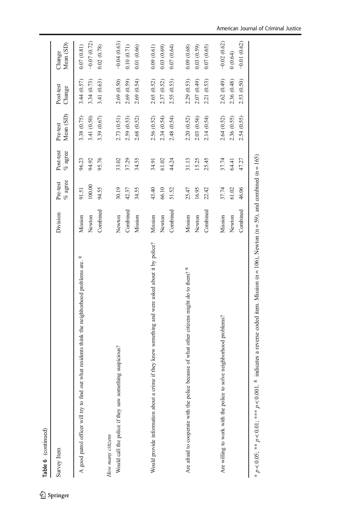| Table 6 (continued)                                                                                 |                    |                        |                         |                            |                            |                             |
|-----------------------------------------------------------------------------------------------------|--------------------|------------------------|-------------------------|----------------------------|----------------------------|-----------------------------|
| Survey Item                                                                                         | Division           | $\%$ agree<br>Pre-test | Post-test<br>$\%$ agree | Mean (SD)<br>Pre-test      | Post-test<br>Change        | Mean (SD)<br>Change         |
| out what residents think the neighborhood problems are. R<br>A good patrol officer will try to find | Mission<br>Newton  | 100.00<br>91.51        | 96.23<br>94.92          | 3.38 (0.75)<br>3.41 (0.50) | 3.44(0.57)<br>3.34 (0.73)  | $-0.07(0.72)$<br>0.07(0.81) |
| Would call the police if they saw something suspicious?<br>How many citizens                        | Combined<br>Newton | 94.55<br>30.19         | 95.76<br>33.02          | 3.39 (0.67)<br>2.73 (0.51) | 3.41 (0.63)<br>2.69 (0.50) | $-0.04(0.63)$<br>0.02(0.78) |
|                                                                                                     | Combined           | 42.37                  | 37.29                   | 2.59 (0.53)                | 2.69 (0.59)                | 0.10(0.71)                  |
|                                                                                                     | Mission            | 34.55                  | 34.55                   | 2.68 (0.52)                | 2.69 (0.54)                | 0.01(0.66)                  |
| Would provide information about a crime if they knew something and were asked about it by police?   | Mission            | 43.40                  | 34.91                   | 2.56 (0.52)                | 2.65 (0.52)                | 0.09(0.61)                  |
|                                                                                                     | Newton             | 66.10                  | 61.02                   | 2.34 (0.54)                | 2.37 (0.52)                | 0.03(0.69)                  |
|                                                                                                     | Combined           | 51.52                  | 44.24                   | 2.48 (0.54)                | 2.55 (0.53)                | (0.07, 0.64)                |
| Are afraid to cooperate with the police because of what other citizens might do to them? R          | Mission            | 25.47                  | 31.13                   | 2.20 (0.52)                | 2.29 (0.53)                | 0.09(0.68)                  |
|                                                                                                     | Newton             | 16.95                  | 15.25                   | 2.03 (0.56)                | 2.07 (0.49)                | 0.03(0.59)                  |
|                                                                                                     | Combined           | 22.42                  | 25.45                   | 2.14(0.54)                 | 2.21(0.53)                 | 0.07(0.65)                  |
| Are willing to work with the police to solve neighborhood problems?                                 | Mission            | 37.74                  | 37.74                   | 2.64 (0.52)                | 2.62 (0.49)                | $-0.02(0.62)$               |
|                                                                                                     | Newton             | 61.02                  | 64.41                   | 2.36 (0.55)                | 2.36 (0.48)                | (0.64)                      |
|                                                                                                     | Combined           | 46.06                  | 47.27                   | 2.54 (0.55)                | 2.53 (0.50)                | $-0.01(0.62)$               |
|                                                                                                     |                    |                        |                         |                            |                            |                             |

\*  $p \lt 0.05$ ; \*\*  $p \lt 0.01$ ; \*\*\*  $p \lt 0.001$ . <sup>R</sup> indicates a reverse coded item. Mission (n = 106), Newton (n = 59), and combined (n = 165) \* p < 0.05; \*\*\* p < 0.01; \*\*\* p < 0.001. R indicates a reverse coded item. Mission (n = 106), Newton (n = 59), and combined (n = 165)

#### American Journal of Criminal Justice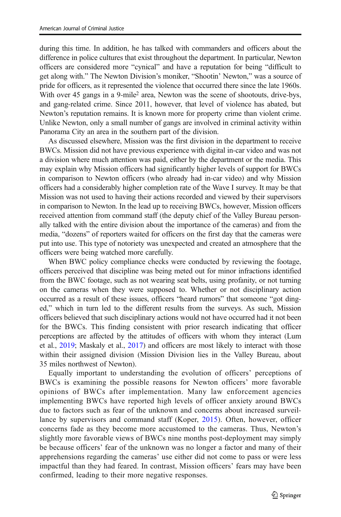during this time. In addition, he has talked with commanders and officers about the difference in police cultures that exist throughout the department. In particular, Newton officers are considered more "cynical" and have a reputation for being "difficult to get along with." The Newton Division's moniker, "Shootin' Newton," was a source of pride for officers, as it represented the violence that occurred there since the late 1960s. With over 45 gangs in a 9-mile<sup>2</sup> area, Newton was the scene of shootouts, drive-bys, and gang-related crime. Since 2011, however, that level of violence has abated, but Newton's reputation remains. It is known more for property crime than violent crime. Unlike Newton, only a small number of gangs are involved in criminal activity within Panorama City an area in the southern part of the division.

As discussed elsewhere, Mission was the first division in the department to receive BWCs. Mission did not have previous experience with digital in-car video and was not a division where much attention was paid, either by the department or the media. This may explain why Mission officers had significantly higher levels of support for BWCs in comparison to Newton officers (who already had in-car video) and why Mission officers had a considerably higher completion rate of the Wave I survey. It may be that Mission was not used to having their actions recorded and viewed by their supervisors in comparison to Newton. In the lead up to receiving BWCs, however, Mission officers received attention from command staff (the deputy chief of the Valley Bureau personally talked with the entire division about the importance of the cameras) and from the media, "dozens" of reporters waited for officers on the first day that the cameras were put into use. This type of notoriety was unexpected and created an atmosphere that the officers were being watched more carefully.

When BWC policy compliance checks were conducted by reviewing the footage, officers perceived that discipline was being meted out for minor infractions identified from the BWC footage, such as not wearing seat belts, using profanity, or not turning on the cameras when they were supposed to. Whether or not disciplinary action occurred as a result of these issues, officers "heard rumors" that someone "got dinged," which in turn led to the different results from the surveys. As such, Mission officers believed that such disciplinary actions would not have occurred had it not been for the BWCs. This finding consistent with prior research indicating that officer perceptions are affected by the attitudes of officers with whom they interact (Lum et al., [2019](#page-25-0); Maskaly et al., [2017](#page-25-0)) and officers are most likely to interact with those within their assigned division (Mission Division lies in the Valley Bureau, about 35 miles northwest of Newton).

Equally important to understanding the evolution of officers' perceptions of BWCs is examining the possible reasons for Newton officers' more favorable opinions of BWCs after implementation. Many law enforcement agencies implementing BWCs have reported high levels of officer anxiety around BWCs due to factors such as fear of the unknown and concerns about increased surveillance by supervisors and command staff (Koper, [2015\)](#page-25-0). Often, however, officer concerns fade as they become more accustomed to the cameras. Thus, Newton's slightly more favorable views of BWCs nine months post-deployment may simply be because officers' fear of the unknown was no longer a factor and many of their apprehensions regarding the cameras' use either did not come to pass or were less impactful than they had feared. In contrast, Mission officers' fears may have been confirmed, leading to their more negative responses.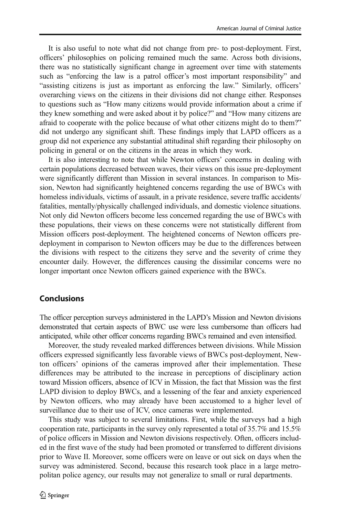It is also useful to note what did not change from pre- to post-deployment. First, officers' philosophies on policing remained much the same. Across both divisions, there was no statistically significant change in agreement over time with statements such as "enforcing the law is a patrol officer's most important responsibility" and "assisting citizens is just as important as enforcing the law." Similarly, officers' overarching views on the citizens in their divisions did not change either. Responses to questions such as "How many citizens would provide information about a crime if they knew something and were asked about it by police?" and "How many citizens are afraid to cooperate with the police because of what other citizens might do to them?" did not undergo any significant shift. These findings imply that LAPD officers as a group did not experience any substantial attitudinal shift regarding their philosophy on policing in general or on the citizens in the areas in which they work.

It is also interesting to note that while Newton officers' concerns in dealing with certain populations decreased between waves, their views on this issue pre-deployment were significantly different than Mission in several instances. In comparison to Mission, Newton had significantly heightened concerns regarding the use of BWCs with homeless individuals, victims of assault, in a private residence, severe traffic accidents/ fatalities, mentally/physically challenged individuals, and domestic violence situations. Not only did Newton officers become less concerned regarding the use of BWCs with these populations, their views on these concerns were not statistically different from Mission officers post-deployment. The heightened concerns of Newton officers predeployment in comparison to Newton officers may be due to the differences between the divisions with respect to the citizens they serve and the severity of crime they encounter daily. However, the differences causing the dissimilar concerns were no longer important once Newton officers gained experience with the BWCs.

### Conclusions

The officer perception surveys administered in the LAPD's Mission and Newton divisions demonstrated that certain aspects of BWC use were less cumbersome than officers had anticipated, while other officer concerns regarding BWCs remained and even intensified.

Moreover, the study revealed marked differences between divisions. While Mission officers expressed significantly less favorable views of BWCs post-deployment, Newton officers' opinions of the cameras improved after their implementation. These differences may be attributed to the increase in perceptions of disciplinary action toward Mission officers, absence of ICV in Mission, the fact that Mission was the first LAPD division to deploy BWCs, and a lessening of the fear and anxiety experienced by Newton officers, who may already have been accustomed to a higher level of surveillance due to their use of ICV, once cameras were implemented.

This study was subject to several limitations. First, while the surveys had a high cooperation rate, participants in the survey only represented a total of 35.7% and 15.5% of police officers in Mission and Newton divisions respectively. Often, officers included in the first wave of the study had been promoted or transferred to different divisions prior to Wave II. Moreover, some officers were on leave or out sick on days when the survey was administered. Second, because this research took place in a large metropolitan police agency, our results may not generalize to small or rural departments.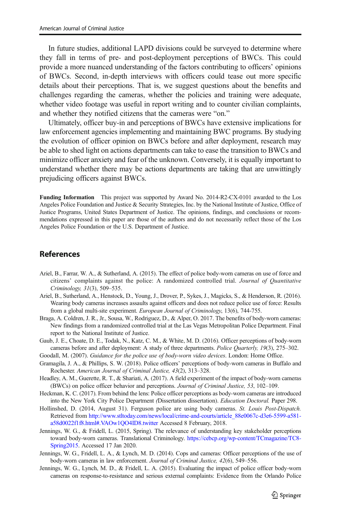<span id="page-24-0"></span>In future studies, additional LAPD divisions could be surveyed to determine where they fall in terms of pre- and post-deployment perceptions of BWCs. This could provide a more nuanced understanding of the factors contributing to officers' opinions of BWCs. Second, in-depth interviews with officers could tease out more specific details about their perceptions. That is, we suggest questions about the benefits and challenges regarding the cameras, whether the policies and training were adequate, whether video footage was useful in report writing and to counter civilian complaints, and whether they notified citizens that the cameras were "on."

Ultimately, officer buy-in and perceptions of BWCs have extensive implications for law enforcement agencies implementing and maintaining BWC programs. By studying the evolution of officer opinion on BWCs before and after deployment, research may be able to shed light on actions departments can take to ease the transition to BWCs and minimize officer anxiety and fear of the unknown. Conversely, it is equally important to understand whether there may be actions departments are taking that are unwittingly prejudicing officers against BWCs.

Funding Information This project was supported by Award No. 2014-R2-CX-0101 awarded to the Los Angeles Police Foundation and Justice & Security Strategies, Inc. by the National Institute of Justice, Office of Justice Programs, United States Department of Justice. The opinions, findings, and conclusions or recommendations expressed in this paper are those of the authors and do not necessarily reflect those of the Los Angeles Police Foundation or the U.S. Department of Justice.

### **References**

- Ariel, B., Farrar, W. A., & Sutherland, A. (2015). The effect of police body-worn cameras on use of force and citizens' complaints against the police: A randomized controlled trial. Journal of Quantitative Criminology, 31(3), 509–535.
- Ariel, B., Sutherland, A., Henstock, D., Young, J., Drover, P., Sykes, J., Magicks, S., & Henderson, R. (2016). Wearing body cameras increases assaults against officers and does not reduce police use of force: Results from a global multi-site experiment. European Journal of Criminology, 13(6), 744-755.
- Braga, A. Coldren, J. R., Jr., Sousa, W., Rodriguez, D., & Alper, O. 2017. The benefits of body-worn cameras: New findings from a randomized controlled trial at the Las Vegas Metropolitan Police Department. Final report to the National Institute of Justice.
- Gaub, J. E., Choate, D. E., Todak, N., Katz, C. M., & White, M. D. (2016). Officer perceptions of body-worn cameras before and after deployment: A study of three departments. Police Quarterly, 19(3), 275–302.
- Goodall, M. (2007). Guidance for the police use of body-worn video devices. London: Home Office.
- Gramagila, J. A., & Phillips, S. W. (2018). Police officers' perceptions of body-worn cameras in Buffalo and Rochester. American Journal of Criminal Justice, 43(2), 313–328.
- Headley, A. M., Guerette, R. T., & Shariati, A. (2017). A field experiment of the impact of body-worn cameras (BWCs) on police officer behavior and perceptions. Journal of Criminal Justice, 53, 102–109.
- Heckman, K. C. (2017). From behind the lens: Police officer perceptions as body-worn cameras are introduced into the New York City Police Department (Dissertation dissertation). Education Doctoral. Paper 298.
- Hollinshed, D. (2014, August 31). Ferguson police are using body cameras. St. Louis Post-Dispatch. Retrieved from [http://www.stltoday.com/news/local/crime-and-courts/article\\_88e0067c-d3e6-5599-a581](http://www.stltoday.com/news/local/crime-and-courts/article_88e0067c-d3e6-5599-a581-a58d0022f1f8.html#.VAOw1QO4ID8.twitter) [a58d0022f1f8.html#.VAOw1QO4ID8.twitter](http://www.stltoday.com/news/local/crime-and-courts/article_88e0067c-d3e6-5599-a581-a58d0022f1f8.html#.VAOw1QO4ID8.twitter) Accessed 8 February, 2018.
- Jennings, W. G., & Fridell, L. (2015, Spring). The relevance of understanding key stakeholder perceptions toward body-worn cameras. Translational Criminology. [https://cebcp.org/wp-content/TCmagazine/TC8-](https://cebcp.org/wp-content/TCmagazine/TC8-Spring2015) [Spring2015.](https://cebcp.org/wp-content/TCmagazine/TC8-Spring2015) Accessed 17 Jan 2020.
- Jennings, W. G., Fridell, L. A., & Lynch, M. D. (2014). Cops and cameras: Officer perceptions of the use of body-worn cameras in law enforcement. Journal of Criminal Justice, 42(6), 549-556.
- Jennings, W. G., Lynch, M. D., & Fridell, L. A. (2015). Evaluating the impact of police officer body-worn cameras on response-to-resistance and serious external complaints: Evidence from the Orlando Police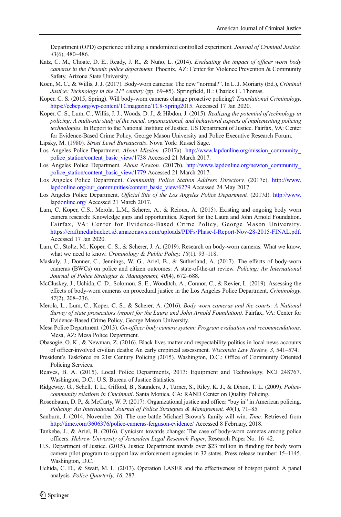<span id="page-25-0"></span>Department (OPD) experience utilizing a randomized controlled experiment. Journal of Criminal Justice, 43(6), 480–486.

- Katz, C. M., Choate, D. E., Ready, J. R., & Nuño, L. (2014). Evaluating the impact of officer worn body cameras in the Phoenix police department. Phoenix, AZ: Center for Violence Prevention & Community Safety, Arizona State University.
- Koen, M. C., & Willis, J. J. (2017). Body-worn cameras: The new "normal?". In L. J. Moriarty (Ed.), Criminal Justice: Technology in the  $21^{st}$  century (pp. 69–85). Springfield, IL: Charles C. Thomas.
- Koper, C. S. (2015, Spring). Will body-worn cameras change proactive policing? Translational Criminology. [https://cebcp.org/wp-content/TCmagazine/TC8-Spring2015.](https://cebcp.org/wp-content/TCmagazine/TC8-Spring2015) Accessed 17 Jan 2020.
- Koper, C. S., Lum, C., Willis, J. J., Woods, D. J., & Hibdon, J. (2015). Realizing the potential of technology in policing: A multi-site study of the social, organizational, and behavioral aspects of implementing policing technologies. In Report to the National Institute of Justice, US Department of Justice. Fairfax, VA: Center for Evidence-Based Crime Policy, George Mason University and Police Executive Research Forum.
- Lipsky, M. (1980). Street Level Bureaucrats. Nova York: Russel Sage.
- Los Angeles Police Department. About Mission. (2017a). [http://www.lapdonline.org/mission\\_community\\_](http://www.lapdonline.org/mission_community_police_station/content_basic_view/1738) [police\\_station/content\\_basic\\_view/1738](http://www.lapdonline.org/mission_community_police_station/content_basic_view/1738) Accessed 21 March 2017.
- Los Angeles Police Department. About Newton. (2017b). [http://www.lapdonline.org/newton\\_community\\_](http://www.lapdonline.org/newton_community_police_station/content_basic_view/1779) [police\\_station/content\\_basic\\_view/1779](http://www.lapdonline.org/newton_community_police_station/content_basic_view/1779) Accessed 21 March 2017.
- Los Angeles Police Department. Community Police Station Address Directory. (2017c). [http://www.](http://www.lapdonline.org/our_communities/content_basic_view/6279) [lapdonline.org/our\\_communities/content\\_basic\\_view/6279](http://www.lapdonline.org/our_communities/content_basic_view/6279) Accessed 24 May 2017.
- Los Angeles Police Department. Official Site of the Los Angeles Police Department. (2017d). [http://www.](http://www.lapdonline.org/) [lapdonline.org/](http://www.lapdonline.org/) Accessed 21 March 2017.
- Lum, C. Koper, C.S., Merola, L.M., Scherer, A., & Reioux, A. (2015). Existing and ongoing body worn camera research: Knowledge gaps and opportunities. Report for the Laura and John Arnold Foundation. Fairfax, VA: Center for Evidence-Based Crime Policy, George Mason University. <https://craftmediabucket.s3.amazonaws.com/uploads/PDFs/Phase-I-Report-Nov-28-2015-FINAL.pdf>. Accessed 17 Jan 2020.
- Lum, C., Stoltz, M., Koper, C. S., & Scherer, J. A. (2019). Research on body-worn cameras: What we know, what we need to know. Criminology & Public Policy, 18(1), 93-118.
- Maskaly, J., Donner, C., Jennings, W. G., Ariel, B., & Sutherland, A. (2017). The effects of body-worn cameras (BWCs) on police and citizen outcomes: A state-of-the-art review. Policing: An International Journal of Police Strategies & Management, 40(4), 672–688.
- McCluskey, J., Uchida, C. D., Solomon, S. E., Wooditch, A., Connor, C., & Revier, L. (2019). Assessing the effects of body-worn cameras on procedural justice in the Los Angeles Police Department. Criminology, 57(2), 208–236.
- Merola, L., Lum, C., Koper, C. S., & Scherer, A. (2016). Body worn cameras and the courts: A National Survey of state prosecutors (report for the Laura and John Arnold Foundation). Fairfax, VA: Center for Evidence-Based Crime Policy, George Mason University.
- Mesa Police Department. (2013). On-officer body camera system: Program evaluation and recommendations. Mesa, AZ: Mesa Police Department.
- Obasogie, O. K., & Newman, Z. (2016). Black lives matter and respectability politics in local news accounts of officer-involved civilian deaths: An early empirical assessment. Wisconsin Law Review, 3, 541–574.
- President's Taskforce on 21st Century Policing (2015). Washington, D.C.: Office of Community Oriented Policing Services.
- Reaves, B. A. (2015). Local Police Departments, 2013: Equipment and Technology. NCJ 248767. Washington, D.C.: U.S. Bureau of Justice Statistics.
- Ridgeway, G., Schell, T. L., Gifford, B., Saunders, J., Turner, S., Riley, K. J., & Dixon, T. L. (2009). Policecommunity relations in Cincinnati. Santa Monica, CA: RAND Center on Quality Policing.
- Rosenbaum, D. P., & McCarty, W. P. (2017). Organizational justice and officer "buy in" in American policing. Policing: An International Journal of Police Strategies & Management, 40(1), 71–85.
- Sanburn, J. (2014, November 26). The one battle Michael Brown's family will win. Time. Retrieved from <http://time.com/3606376/police-cameras-ferguson-evidence/> Accessed 8 February, 2018.
- Tankebe, J., & Ariel, B. (2016). Cynicism towards change: The case of body-worn cameras among police officers. Hebrew University of Jerusalem Legal Research Paper, Research Paper No. 16–42.
- U.S. Department of Justice. (2015). Justice Department awards over \$23 million in funding for body worn camera pilot program to support law enforcement agencies in 32 states. Press release number: 15–1145. Washington, D.C.
- Uchida, C. D., & Swatt, M. L. (2013). Operation LASER and the effectiveness of hotspot patrol: A panel analysis. Police Quarterly, 16, 287.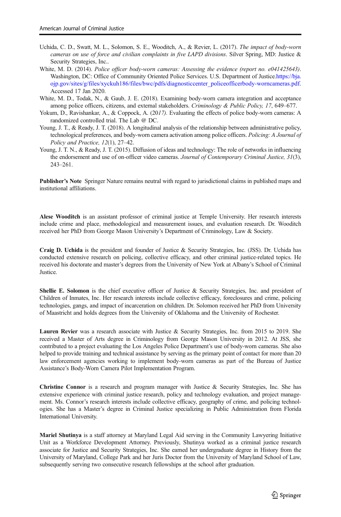- <span id="page-26-0"></span>Uchida, C. D., Swatt, M. L., Solomon, S. E., Wooditch, A., & Revier, L. (2017). The impact of body-worn cameras on use of force and civilian complaints in five LAPD divisions. Silver Spring, MD: Justice & Security Strategies, Inc..
- White, M. D. (2014). Police officer body-worn cameras: Assessing the evidence (report no. e041425643). Washington, DC: Office of Community Oriented Police Services. U.S. Department of Justice[.https://bja.](https://bja.ojp.gov/sites/g/files/xyckuh186/files/bwc/pdfs/diagnosticcenter_policeofficerbody-worncameras.pdf) [ojp.gov/sites/g/files/xyckuh186/files/bwc/pdfs/diagnosticcenter\\_policeofficerbody-worncameras.pdf](https://bja.ojp.gov/sites/g/files/xyckuh186/files/bwc/pdfs/diagnosticcenter_policeofficerbody-worncameras.pdf). Accessed 17 Jan 2020.
- White, M. D., Todak, N., & Gaub, J. E. (2018). Examining body-worn camera integration and acceptance among police officers, citizens, and external stakeholders. Criminology & Public Policy, 17, 649–677.
- Yokum, D., Ravishankar, A., & Coppock, A. (2017). Evaluating the effects of police body-worn cameras: A randomized controlled trial. The Lab @ DC.
- Young, J. T., & Ready, J. T. (2018). A longitudinal analysis of the relationship between administrative policy, technological preferences, and body-worn camera activation among police officers. Policing: A Journal of Policy and Practice, 12(1), 27–42.
- Young, J. T. N., & Ready, J. T. (2015). Diffusion of ideas and technology: The role of networks in influencing the endorsement and use of on-officer video cameras. Journal of Contemporary Criminal Justice, 31(3), 243–261.

Publisher's Note Springer Nature remains neutral with regard to jurisdictional claims in published maps and institutional affiliations.

Alese Wooditch is an assistant professor of criminal justice at Temple University. Her research interests include crime and place, methodological and measurement issues, and evaluation research. Dr. Wooditch received her PhD from George Mason University's Department of Criminology, Law & Society.

Craig D. Uchida is the president and founder of Justice & Security Strategies, Inc. (JSS). Dr. Uchida has conducted extensive research on policing, collective efficacy, and other criminal justice-related topics. He received his doctorate and master's degrees from the University of New York at Albany's School of Criminal **Justice** 

Shellie E. Solomon is the chief executive officer of Justice & Security Strategies, Inc. and president of Children of Inmates, Inc. Her research interests include collective efficacy, foreclosures and crime, policing technologies, gangs, and impact of incarceration on children. Dr. Solomon received her PhD from University of Maastricht and holds degrees from the University of Oklahoma and the University of Rochester.

Lauren Revier was a research associate with Justice & Security Strategies, Inc. from 2015 to 2019. She received a Master of Arts degree in Criminology from George Mason University in 2012. At JSS, she contributed to a project evaluating the Los Angeles Police Department's use of body-worn cameras. She also helped to provide training and technical assistance by serving as the primary point of contact for more than 20 law enforcement agencies working to implement body-worn cameras as part of the Bureau of Justice Assistance's Body-Worn Camera Pilot Implementation Program.

Christine Connor is a research and program manager with Justice & Security Strategies, Inc. She has extensive experience with criminal justice research, policy and technology evaluation, and project management. Ms. Connor's research interests include collective efficacy, geography of crime, and policing technologies. She has a Master's degree in Criminal Justice specializing in Public Administration from Florida International University.

Mariel Shutinya is a staff attorney at Maryland Legal Aid serving in the Community Lawyering Initiative Unit as a Workforce Development Attorney. Previously, Shutinya worked as a criminal justice research associate for Justice and Security Strategies, Inc. She earned her undergraduate degree in History from the University of Maryland, College Park and her Juris Doctor from the University of Maryland School of Law, subsequently serving two consecutive research fellowships at the school after graduation.